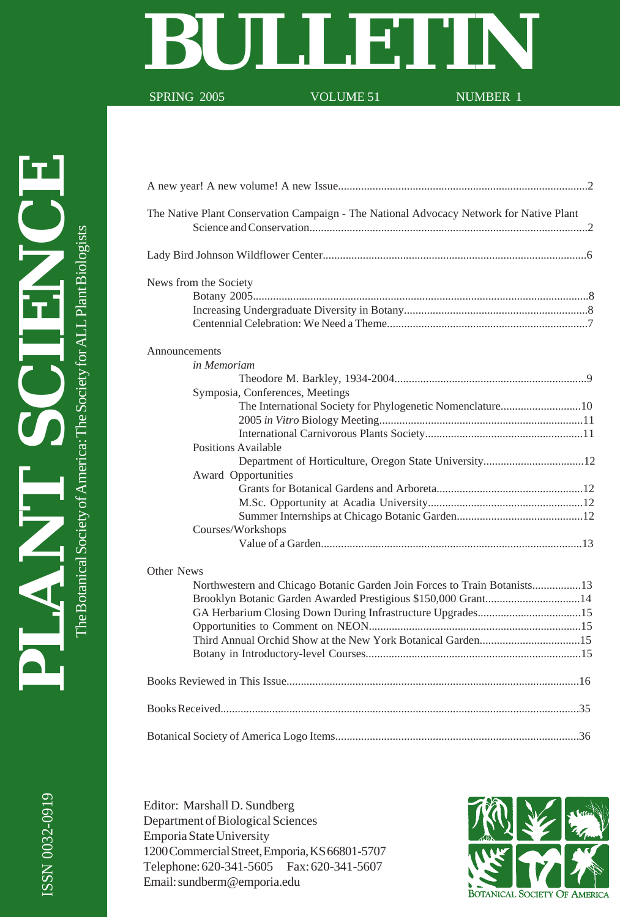# SPRING 2005 VOLUME 51

SPRING 2005

A new year! A new volume! A new Issue.......................................................................................2

The Botanical Society of America: The Society for ALL Plant Biologists

| The Native Plant Conservation Campaign - The National Advocacy Network for Native Plant |
|-----------------------------------------------------------------------------------------|
|                                                                                         |
| News from the Society                                                                   |
|                                                                                         |
|                                                                                         |
|                                                                                         |
| Announcements                                                                           |
| in Memoriam                                                                             |
| Symposia, Conferences, Meetings                                                         |
|                                                                                         |
| The International Society for Phylogenetic Nomenclature10                               |
|                                                                                         |
| Positions Available                                                                     |
|                                                                                         |
| Award Opportunities                                                                     |
|                                                                                         |
|                                                                                         |
|                                                                                         |
| Courses/Workshops                                                                       |
|                                                                                         |
| Other News                                                                              |
| Northwestern and Chicago Botanic Garden Join Forces to Train Botanists13                |
| Brooklyn Botanic Garden Awarded Prestigious \$150,000 Grant14                           |
|                                                                                         |
|                                                                                         |
|                                                                                         |
|                                                                                         |
|                                                                                         |
|                                                                                         |
|                                                                                         |

Editor: Marshall D. Sundberg Department of Biological Sciences Emporia State University 1200 Commercial Street, Emporia, KS 66801-5707 Telephone: 620-341-5605 Fax: 620-341-5607 Email: sundberm@emporia.edu

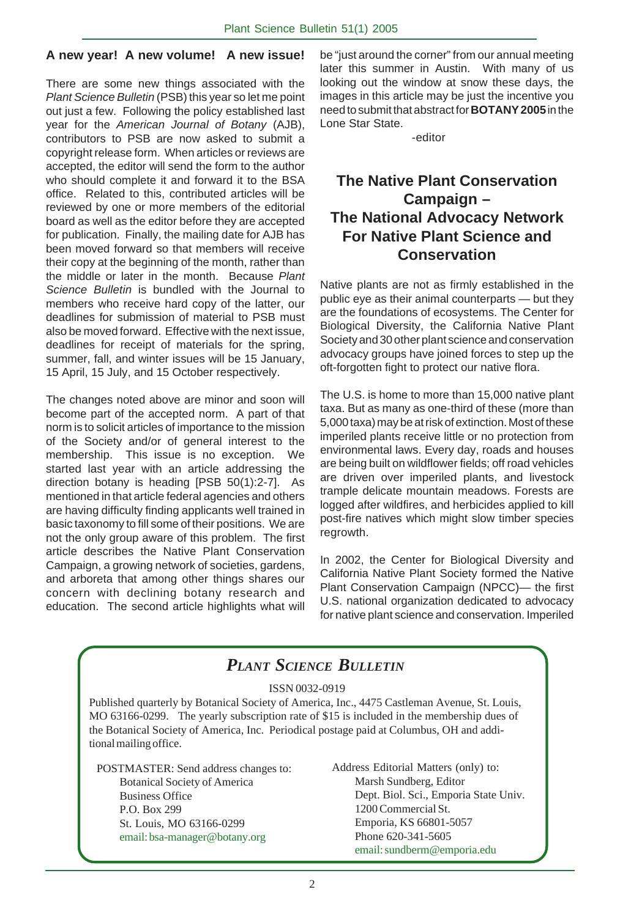#### **A new year! A new volume! A new issue!**

There are some new things associated with the Plant Science Bulletin (PSB) this year so let me point out just a few. Following the policy established last year for the American Journal of Botany (AJB), contributors to PSB are now asked to submit a copyright release form. When articles or reviews are accepted, the editor will send the form to the author who should complete it and forward it to the BSA office. Related to this, contributed articles will be reviewed by one or more members of the editorial board as well as the editor before they are accepted for publication. Finally, the mailing date for AJB has been moved forward so that members will receive their copy at the beginning of the month, rather than the middle or later in the month. Because Plant Science Bulletin is bundled with the Journal to members who receive hard copy of the latter, our deadlines for submission of material to PSB must also be moved forward. Effective with the next issue, deadlines for receipt of materials for the spring, summer, fall, and winter issues will be 15 January, 15 April, 15 July, and 15 October respectively.

The changes noted above are minor and soon will become part of the accepted norm. A part of that norm is to solicit articles of importance to the mission of the Society and/or of general interest to the membership. This issue is no exception. We started last year with an article addressing the direction botany is heading [PSB 50(1):2-7]. As mentioned in that article federal agencies and others are having difficulty finding applicants well trained in basic taxonomy to fill some of their positions. We are not the only group aware of this problem. The first article describes the Native Plant Conservation Campaign, a growing network of societies, gardens, and arboreta that among other things shares our concern with declining botany research and education. The second article highlights what will be "just around the corner" from our annual meeting later this summer in Austin. With many of us looking out the window at snow these days, the images in this article may be just the incentive you need to submit that abstract for **BOTANY 2005** in the Lone Star State.

-editor

## **The Native Plant Conservation Campaign – The National Advocacy Network For Native Plant Science and Conservation**

Native plants are not as firmly established in the public eye as their animal counterparts — but they are the foundations of ecosystems. The Center for Biological Diversity, the California Native Plant Society and 30 other plant science and conservation advocacy groups have joined forces to step up the oft-forgotten fight to protect our native flora.

The U.S. is home to more than 15,000 native plant taxa. But as many as one-third of these (more than 5,000 taxa) may be at risk of extinction. Most of these imperiled plants receive little or no protection from environmental laws. Every day, roads and houses are being built on wildflower fields; off road vehicles are driven over imperiled plants, and livestock trample delicate mountain meadows. Forests are logged after wildfires, and herbicides applied to kill post-fire natives which might slow timber species regrowth.

In 2002, the Center for Biological Diversity and California Native Plant Society formed the Native Plant Conservation Campaign (NPCC)— the first U.S. national organization dedicated to advocacy for native plant science and conservation. Imperiled

## *PLANT SCIENCE BULLETIN*

#### ISSN 0032-0919

Published quarterly by Botanical Society of America, Inc., 4475 Castleman Avenue, St. Louis, MO 63166-0299. The yearly subscription rate of \$15 is included in the membership dues of the Botanical Society of America, Inc. Periodical postage paid at Columbus, OH and additional mailing office.

POSTMASTER: Send address changes to: Botanical Society of America Business Office P.O. Box 299 St. Louis, MO 63166-0299 email: bsa-manager@botany.org

Address Editorial Matters (only) to: Marsh Sundberg, Editor Dept. Biol. Sci., Emporia State Univ. 1200 Commercial St. Emporia, KS 66801-5057 Phone 620-341-5605 email: sundberm@emporia.edu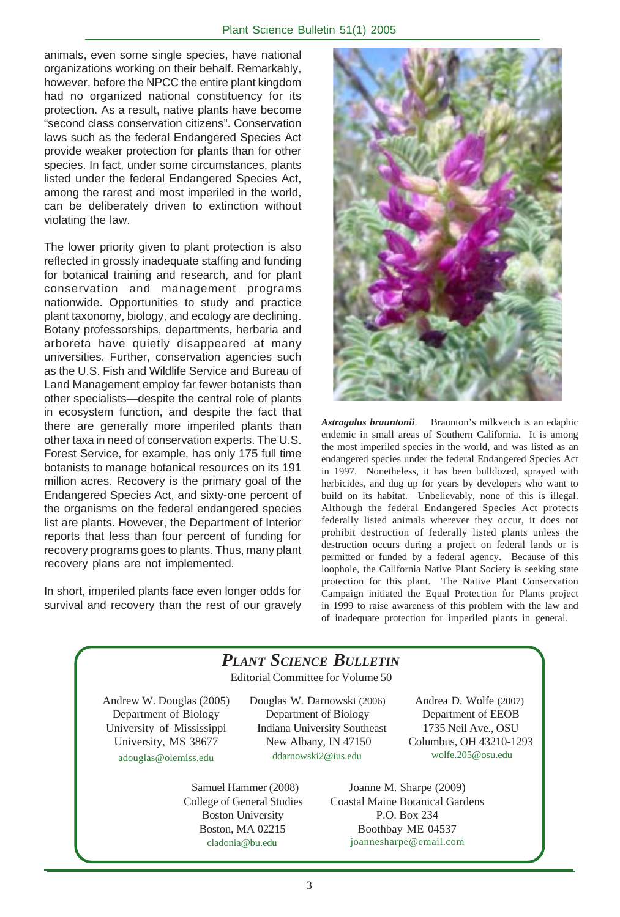animals, even some single species, have national organizations working on their behalf. Remarkably, however, before the NPCC the entire plant kingdom had no organized national constituency for its protection. As a result, native plants have become "second class conservation citizens". Conservation laws such as the federal Endangered Species Act provide weaker protection for plants than for other species. In fact, under some circumstances, plants listed under the federal Endangered Species Act, among the rarest and most imperiled in the world, can be deliberately driven to extinction without violating the law.

The lower priority given to plant protection is also reflected in grossly inadequate staffing and funding for botanical training and research, and for plant conservation and management programs nationwide. Opportunities to study and practice plant taxonomy, biology, and ecology are declining. Botany professorships, departments, herbaria and arboreta have quietly disappeared at many universities. Further, conservation agencies such as the U.S. Fish and Wildlife Service and Bureau of Land Management employ far fewer botanists than other specialists—despite the central role of plants in ecosystem function, and despite the fact that there are generally more imperiled plants than other taxa in need of conservation experts. The U.S. Forest Service, for example, has only 175 full time botanists to manage botanical resources on its 191 million acres. Recovery is the primary goal of the Endangered Species Act, and sixty-one percent of the organisms on the federal endangered species list are plants. However, the Department of Interior reports that less than four percent of funding for recovery programs goes to plants. Thus, many plant recovery plans are not implemented.

In short, imperiled plants face even longer odds for survival and recovery than the rest of our gravely



*Astragalus brauntonii*. Braunton's milkvetch is an edaphic endemic in small areas of Southern California. It is among the most imperiled species in the world, and was listed as an endangered species under the federal Endangered Species Act in 1997. Nonetheless, it has been bulldozed, sprayed with herbicides, and dug up for years by developers who want to build on its habitat. Unbelievably, none of this is illegal. Although the federal Endangered Species Act protects federally listed animals wherever they occur, it does not prohibit destruction of federally listed plants unless the destruction occurs during a project on federal lands or is permitted or funded by a federal agency. Because of this loophole, the California Native Plant Society is seeking state protection for this plant. The Native Plant Conservation Campaign initiated the Equal Protection for Plants project in 1999 to raise awareness of this problem with the law and of inadequate protection for imperiled plants in general.

#### Editorial Committee for Volume 50 Joanne M. Sharpe (2009) Coastal Maine Botanical Gardens P.O. Box 234 Boothbay ME 04537 joannesharpe@email.com Andrew W. Douglas (2005) Department of Biology University of Mississippi University, MS 38677 adouglas@olemiss.edu *PLANT SCIENCE BULLETIN* Douglas W. Darnowski (2006) Department of Biology Indiana University Southeast New Albany, IN 47150 ddarnowski2@ius.edu Andrea D. Wolfe (2007) Department of EEOB 1735 Neil Ave., OSU Columbus, OH 43210-1293 wolfe.205@osu.edu Samuel Hammer (2008) College of General Studies Boston University Boston, MA 02215 cladonia@bu.edu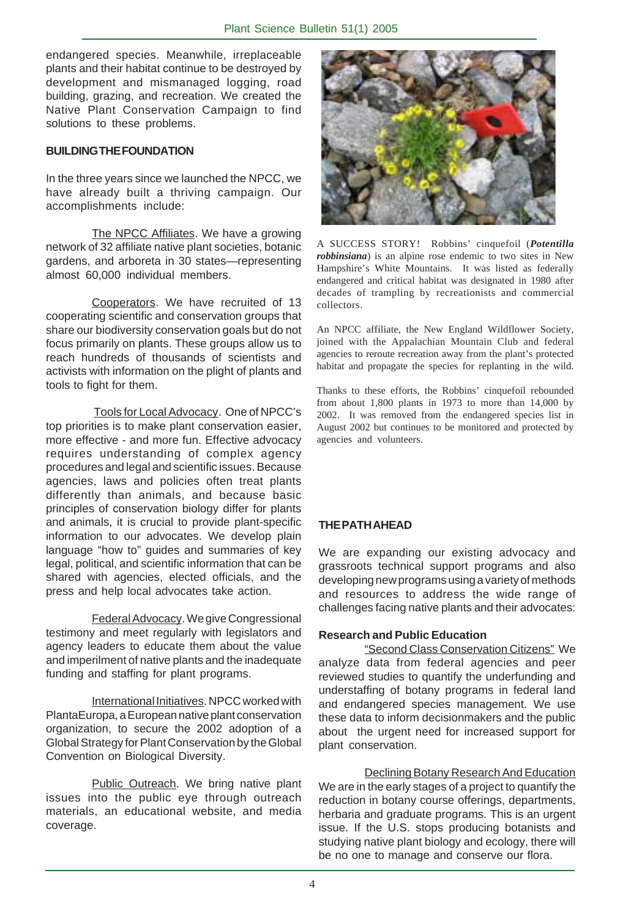endangered species. Meanwhile, irreplaceable plants and their habitat continue to be destroyed by development and mismanaged logging, road building, grazing, and recreation. We created the Native Plant Conservation Campaign to find solutions to these problems.

#### **BUILDING THE FOUNDATION**

In the three years since we launched the NPCC, we have already built a thriving campaign. Our accomplishments include:

The NPCC Affiliates. We have a growing network of 32 affiliate native plant societies, botanic gardens, and arboreta in 30 states—representing almost 60,000 individual members.

Cooperators. We have recruited of 13 cooperating scientific and conservation groups that share our biodiversity conservation goals but do not focus primarily on plants. These groups allow us to reach hundreds of thousands of scientists and activists with information on the plight of plants and tools to fight for them.

Tools for Local Advocacy. One of NPCC's top priorities is to make plant conservation easier, more effective - and more fun. Effective advocacy requires understanding of complex agency procedures and legal and scientific issues. Because agencies, laws and policies often treat plants differently than animals, and because basic principles of conservation biology differ for plants and animals, it is crucial to provide plant-specific information to our advocates. We develop plain language "how to" guides and summaries of key legal, political, and scientific information that can be shared with agencies, elected officials, and the press and help local advocates take action.

Federal Advocacy. We give Congressional testimony and meet regularly with legislators and agency leaders to educate them about the value and imperilment of native plants and the inadequate funding and staffing for plant programs.

International Initiatives. NPCC worked with PlantaEuropa, a European native plant conservation organization, to secure the 2002 adoption of a Global Strategy for Plant Conservation by the Global Convention on Biological Diversity.

Public Outreach. We bring native plant issues into the public eye through outreach materials, an educational website, and media coverage.



A SUCCESS STORY! Robbins' cinquefoil (*Potentilla robbinsiana*) is an alpine rose endemic to two sites in New Hampshire's White Mountains. It was listed as federally endangered and critical habitat was designated in 1980 after decades of trampling by recreationists and commercial collectors.

An NPCC affiliate, the New England Wildflower Society, joined with the Appalachian Mountain Club and federal agencies to reroute recreation away from the plant's protected habitat and propagate the species for replanting in the wild.

Thanks to these efforts, the Robbins' cinquefoil rebounded from about 1,800 plants in 1973 to more than 14,000 by 2002. It was removed from the endangered species list in August 2002 but continues to be monitored and protected by agencies and volunteers.

#### **THE PATH AHEAD**

We are expanding our existing advocacy and grassroots technical support programs and also developing new programs using a variety of methods and resources to address the wide range of challenges facing native plants and their advocates:

#### **Research and Public Education**

"Second Class Conservation Citizens" We analyze data from federal agencies and peer reviewed studies to quantify the underfunding and understaffing of botany programs in federal land and endangered species management. We use these data to inform decisionmakers and the public about the urgent need for increased support for plant conservation.

Declining Botany Research And Education We are in the early stages of a project to quantify the reduction in botany course offerings, departments, herbaria and graduate programs. This is an urgent issue. If the U.S. stops producing botanists and studying native plant biology and ecology, there will be no one to manage and conserve our flora.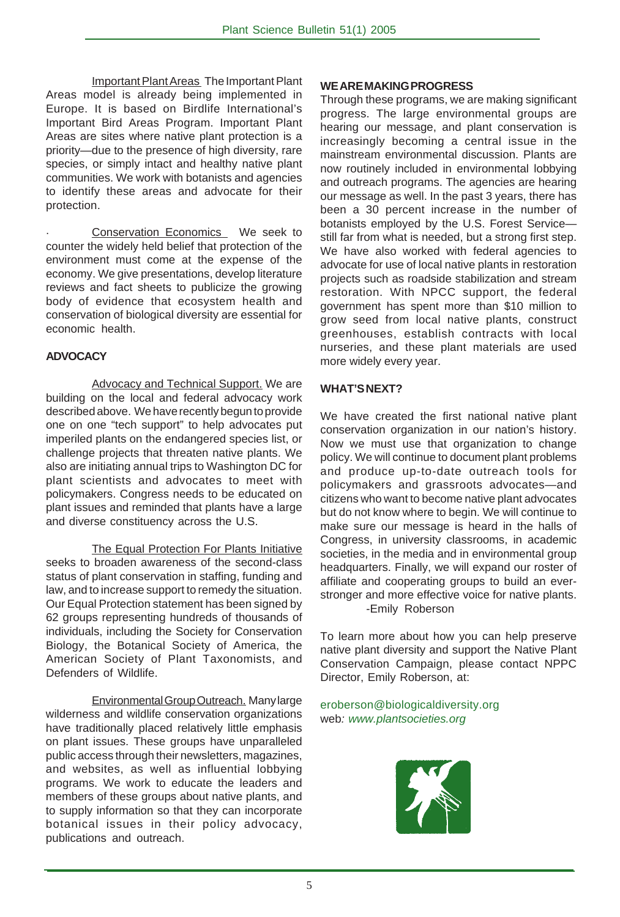Important Plant Areas The Important Plant Areas model is already being implemented in Europe. It is based on Birdlife International's Important Bird Areas Program. Important Plant Areas are sites where native plant protection is a priority—due to the presence of high diversity, rare species, or simply intact and healthy native plant communities. We work with botanists and agencies to identify these areas and advocate for their protection.

Conservation Economics We seek to counter the widely held belief that protection of the environment must come at the expense of the economy. We give presentations, develop literature reviews and fact sheets to publicize the growing body of evidence that ecosystem health and conservation of biological diversity are essential for economic health.

#### **ADVOCACY**

Advocacy and Technical Support. We are building on the local and federal advocacy work described above.We have recently begun to provide one on one "tech support" to help advocates put imperiled plants on the endangered species list, or challenge projects that threaten native plants. We also are initiating annual trips to Washington DC for plant scientists and advocates to meet with policymakers. Congress needs to be educated on plant issues and reminded that plants have a large and diverse constituency across the U.S.

The Equal Protection For Plants Initiative seeks to broaden awareness of the second-class status of plant conservation in staffing, funding and law, and to increase support to remedy the situation. Our Equal Protection statement has been signed by 62 groups representing hundreds of thousands of individuals, including the Society for Conservation Biology, the Botanical Society of America, the American Society of Plant Taxonomists, and Defenders of Wildlife.

Environmental Group Outreach.Many large wilderness and wildlife conservation organizations have traditionally placed relatively little emphasis on plant issues. These groups have unparalleled public access through their newsletters, magazines, and websites, as well as influential lobbying programs. We work to educate the leaders and members of these groups about native plants, and to supply information so that they can incorporate botanical issues in their policy advocacy, publications and outreach.

#### **WE ARE MAKING PROGRESS**

Through these programs, we are making significant progress. The large environmental groups are hearing our message, and plant conservation is increasingly becoming a central issue in the mainstream environmental discussion. Plants are now routinely included in environmental lobbying and outreach programs. The agencies are hearing our message as well. In the past 3 years, there has been a 30 percent increase in the number of botanists employed by the U.S. Forest Service still far from what is needed, but a strong first step. We have also worked with federal agencies to advocate for use of local native plants in restoration projects such as roadside stabilization and stream restoration. With NPCC support, the federal government has spent more than \$10 million to grow seed from local native plants, construct greenhouses, establish contracts with local nurseries, and these plant materials are used more widely every year.

#### **WHAT'S NEXT?**

We have created the first national native plant conservation organization in our nation's history. Now we must use that organization to change policy. We will continue to document plant problems and produce up-to-date outreach tools for policymakers and grassroots advocates—and citizens who want to become native plant advocates but do not know where to begin. We will continue to make sure our message is heard in the halls of Congress, in university classrooms, in academic societies, in the media and in environmental group headquarters. Finally, we will expand our roster of affiliate and cooperating groups to build an everstronger and more effective voice for native plants. -Emily Roberson

To learn more about how you can help preserve native plant diversity and support the Native Plant Conservation Campaign, please contact NPPC Director, Emily Roberson, at:

eroberson@biologicaldiversity.org web: www.plantsocieties.org

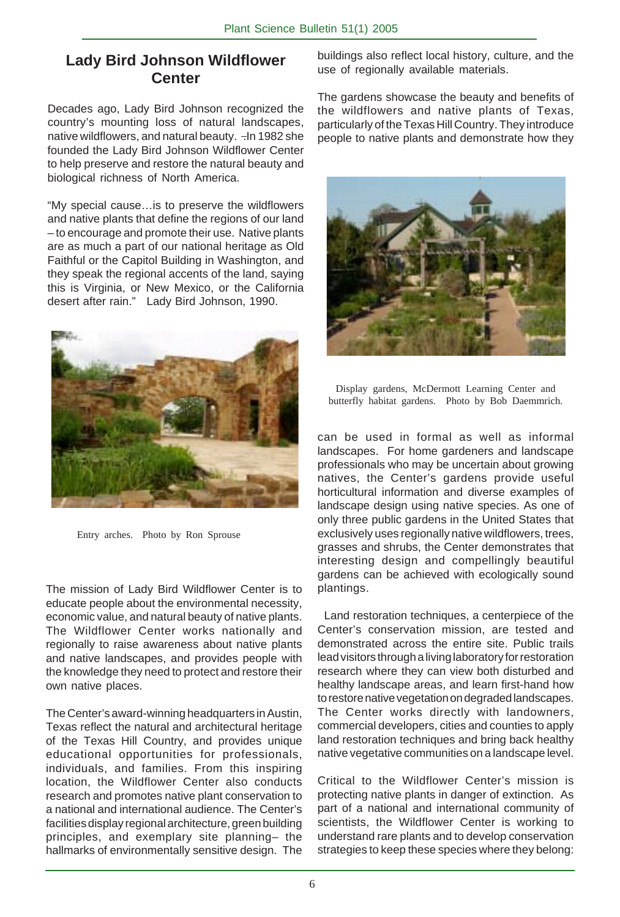## **Lady Bird Johnson Wildflower Center**

Decades ago, Lady Bird Johnson recognized the country's mounting loss of natural landscapes, native wildflowers, and natural beauty. -In 1982 she founded the Lady Bird Johnson Wildflower Center to help preserve and restore the natural beauty and biological richness of North America.

"My special cause…is to preserve the wildflowers and native plants that define the regions of our land – to encourage and promote their use. Native plants are as much a part of our national heritage as Old Faithful or the Capitol Building in Washington, and they speak the regional accents of the land, saying this is Virginia, or New Mexico, or the California desert after rain." Lady Bird Johnson, 1990.



Entry arches. Photo by Ron Sprouse

The mission of Lady Bird Wildflower Center is to educate people about the environmental necessity, economic value, and natural beauty of native plants. The Wildflower Center works nationally and regionally to raise awareness about native plants and native landscapes, and provides people with the knowledge they need to protect and restore their own native places.

The Center's award-winning headquarters in Austin, Texas reflect the natural and architectural heritage of the Texas Hill Country, and provides unique educational opportunities for professionals, individuals, and families. From this inspiring location, the Wildflower Center also conducts research and promotes native plant conservation to a national and international audience. The Center's facilities display regional architecture, green building principles, and exemplary site planning– the hallmarks of environmentally sensitive design. The

buildings also reflect local history, culture, and the use of regionally available materials.

The gardens showcase the beauty and benefits of the wildflowers and native plants of Texas, particularly of the Texas Hill Country. They introduce people to native plants and demonstrate how they



Display gardens, McDermott Learning Center and butterfly habitat gardens. Photo by Bob Daemmrich.

can be used in formal as well as informal landscapes. For home gardeners and landscape professionals who may be uncertain about growing natives, the Center's gardens provide useful horticultural information and diverse examples of landscape design using native species. As one of only three public gardens in the United States that exclusively uses regionally native wildflowers, trees, grasses and shrubs, the Center demonstrates that interesting design and compellingly beautiful gardens can be achieved with ecologically sound plantings.

 Land restoration techniques, a centerpiece of the Center's conservation mission, are tested and demonstrated across the entire site. Public trails lead visitors through a living laboratory for restoration research where they can view both disturbed and healthy landscape areas, and learn first-hand how to restore native vegetation on degraded landscapes. The Center works directly with landowners, commercial developers, cities and counties to apply land restoration techniques and bring back healthy native vegetative communities on a landscape level.

Critical to the Wildflower Center's mission is protecting native plants in danger of extinction. As part of a national and international community of scientists, the Wildflower Center is working to understand rare plants and to develop conservation strategies to keep these species where they belong: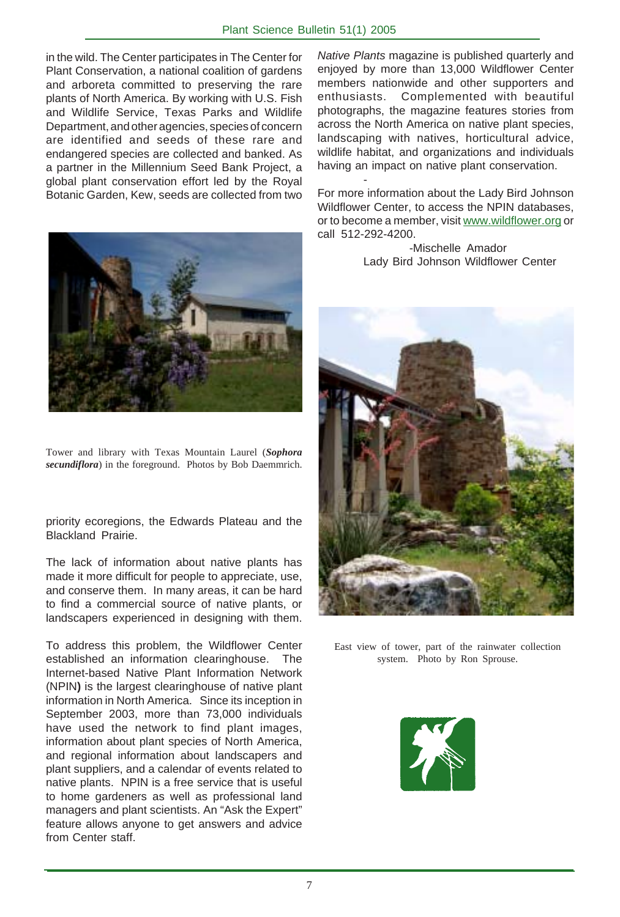#### Plant Science Bulletin 51(1) 2005

-

in the wild. The Center participates in The Center for Plant Conservation, a national coalition of gardens and arboreta committed to preserving the rare plants of North America. By working with U.S. Fish and Wildlife Service, Texas Parks and Wildlife Department, and other agencies, species of concern are identified and seeds of these rare and endangered species are collected and banked. As a partner in the Millennium Seed Bank Project, a global plant conservation effort led by the Royal Botanic Garden, Kew, seeds are collected from two



Tower and library with Texas Mountain Laurel (*Sophora secundiflora*) in the foreground. Photos by Bob Daemmrich.

priority ecoregions, the Edwards Plateau and the Blackland Prairie.

The lack of information about native plants has made it more difficult for people to appreciate, use, and conserve them. In many areas, it can be hard to find a commercial source of native plants, or landscapers experienced in designing with them.

To address this problem, the Wildflower Center established an information clearinghouse. The Internet-based Native Plant Information Network (NPIN**)** is the largest clearinghouse of native plant information in North America. Since its inception in September 2003, more than 73,000 individuals have used the network to find plant images, information about plant species of North America, and regional information about landscapers and plant suppliers, and a calendar of events related to native plants. NPIN is a free service that is useful to home gardeners as well as professional land managers and plant scientists. An "Ask the Expert" feature allows anyone to get answers and advice from Center staff.

Native Plants magazine is published quarterly and enjoyed by more than 13,000 Wildflower Center members nationwide and other supporters and enthusiasts. Complemented with beautiful photographs, the magazine features stories from across the North America on native plant species, landscaping with natives, horticultural advice, wildlife habitat, and organizations and individuals having an impact on native plant conservation.

For more information about the Lady Bird Johnson Wildflower Center, to access the NPIN databases, or to become a member, visit www.wildflower.org or call 512-292-4200.

> -Mischelle Amador Lady Bird Johnson Wildflower Center



East view of tower, part of the rainwater collection system. Photo by Ron Sprouse.

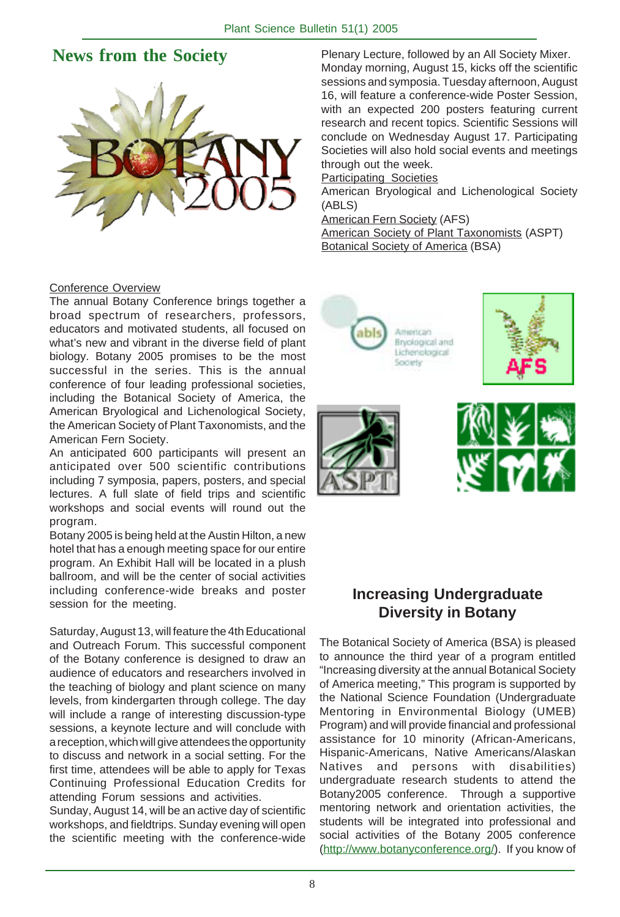# **News from the Society**



#### Conference Overview

The annual Botany Conference brings together a broad spectrum of researchers, professors, educators and motivated students, all focused on what's new and vibrant in the diverse field of plant biology. Botany 2005 promises to be the most successful in the series. This is the annual conference of four leading professional societies, including the Botanical Society of America, the American Bryological and Lichenological Society, the American Society of Plant Taxonomists, and the American Fern Society.

An anticipated 600 participants will present an anticipated over 500 scientific contributions including 7 symposia, papers, posters, and special lectures. A full slate of field trips and scientific workshops and social events will round out the program.

Botany 2005 is being held at the Austin Hilton, a new hotel that has a enough meeting space for our entire program. An Exhibit Hall will be located in a plush ballroom, and will be the center of social activities including conference-wide breaks and poster session for the meeting.

Saturday, August 13, will feature the 4th Educational and Outreach Forum. This successful component of the Botany conference is designed to draw an audience of educators and researchers involved in the teaching of biology and plant science on many levels, from kindergarten through college. The day will include a range of interesting discussion-type sessions, a keynote lecture and will conclude with a reception, which will give attendees the opportunity to discuss and network in a social setting. For the first time, attendees will be able to apply for Texas Continuing Professional Education Credits for attending Forum sessions and activities.

Sunday, August 14, will be an active day of scientific workshops, and fieldtrips. Sunday evening will open the scientific meeting with the conference-wide

Plenary Lecture, followed by an All Society Mixer. Monday morning, August 15, kicks off the scientific sessions and symposia. Tuesday afternoon, August 16, will feature a conference-wide Poster Session, with an expected 200 posters featuring current research and recent topics. Scientific Sessions will conclude on Wednesday August 17. Participating Societies will also hold social events and meetings through out the week.

Participating Societies

American Bryological and Lichenological Society (ABLS)

American Fern Society (AFS)

American Society of Plant Taxonomists (ASPT) Botanical Society of America (BSA)



#### **Increasing Undergraduate Diversity in Botany**

The Botanical Society of America (BSA) is pleased to announce the third year of a program entitled "Increasing diversity at the annual Botanical Society of America meeting," This program is supported by the National Science Foundation (Undergraduate Mentoring in Environmental Biology (UMEB) Program) and will provide financial and professional assistance for 10 minority (African-Americans, Hispanic-Americans, Native Americans/Alaskan Natives and persons with disabilities) undergraduate research students to attend the Botany2005 conference. Through a supportive mentoring network and orientation activities, the students will be integrated into professional and social activities of the Botany 2005 conference (http://www.botanyconference.org/). If you know of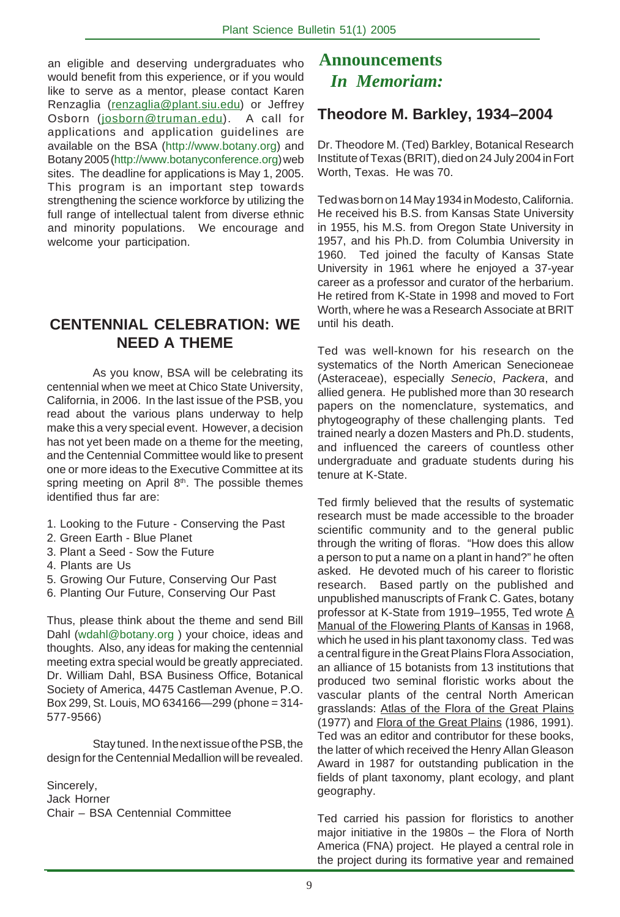an eligible and deserving undergraduates who would benefit from this experience, or if you would like to serve as a mentor, please contact Karen Renzaglia (renzaglia@plant.siu.edu) or Jeffrey Osborn (josborn@truman.edu). A call for applications and application guidelines are available on the BSA (http://www.botany.org) and Botany 2005 (http://www.botanyconference.org) web sites. The deadline for applications is May 1, 2005. This program is an important step towards strengthening the science workforce by utilizing the full range of intellectual talent from diverse ethnic and minority populations. We encourage and welcome your participation.

## **CENTENNIAL CELEBRATION: WE NEED A THEME**

As you know, BSA will be celebrating its centennial when we meet at Chico State University, California, in 2006. In the last issue of the PSB, you read about the various plans underway to help make this a very special event. However, a decision has not yet been made on a theme for the meeting, and the Centennial Committee would like to present one or more ideas to the Executive Committee at its spring meeting on April 8<sup>th</sup>. The possible themes identified thus far are:

- 1. Looking to the Future Conserving the Past
- 2. Green Earth Blue Planet
- 3. Plant a Seed Sow the Future
- 4. Plants are Us
- 5. Growing Our Future, Conserving Our Past
- 6. Planting Our Future, Conserving Our Past

Thus, please think about the theme and send Bill Dahl (wdahl@botany.org ) your choice, ideas and thoughts. Also, any ideas for making the centennial meeting extra special would be greatly appreciated. Dr. William Dahl, BSA Business Office, Botanical Society of America, 4475 Castleman Avenue, P.O. Box 299, St. Louis, MO 634166—299 (phone = 314- 577-9566)

Stay tuned. In the next issue of the PSB, the design for the Centennial Medallion will be revealed.

Sincerely, Jack Horner Chair – BSA Centennial Committee

# *In Memoriam:* **Announcements**

## **Theodore M. Barkley, 1934–2004**

Dr. Theodore M. (Ted) Barkley, Botanical Research Institute of Texas (BRIT), died on 24 July 2004 in Fort Worth, Texas. He was 70.

Ted was born on 14 May 1934 in Modesto, California. He received his B.S. from Kansas State University in 1955, his M.S. from Oregon State University in 1957, and his Ph.D. from Columbia University in 1960. Ted joined the faculty of Kansas State University in 1961 where he enjoyed a 37-year career as a professor and curator of the herbarium. He retired from K-State in 1998 and moved to Fort Worth, where he was a Research Associate at BRIT until his death.

Ted was well-known for his research on the systematics of the North American Senecioneae (Asteraceae), especially Senecio, Packera, and allied genera. He published more than 30 research papers on the nomenclature, systematics, and phytogeography of these challenging plants. Ted trained nearly a dozen Masters and Ph.D. students, and influenced the careers of countless other undergraduate and graduate students during his tenure at K-State.

Ted firmly believed that the results of systematic research must be made accessible to the broader scientific community and to the general public through the writing of floras. "How does this allow a person to put a name on a plant in hand?" he often asked. He devoted much of his career to floristic research. Based partly on the published and unpublished manuscripts of Frank C. Gates, botany professor at K-State from 1919-1955, Ted wrote A Manual of the Flowering Plants of Kansas in 1968, which he used in his plant taxonomy class. Ted was a central figure in the Great Plains Flora Association, an alliance of 15 botanists from 13 institutions that produced two seminal floristic works about the vascular plants of the central North American grasslands: Atlas of the Flora of the Great Plains (1977) and Flora of the Great Plains (1986, 1991). Ted was an editor and contributor for these books, the latter of which received the Henry Allan Gleason Award in 1987 for outstanding publication in the fields of plant taxonomy, plant ecology, and plant geography.

Ted carried his passion for floristics to another major initiative in the 1980s – the Flora of North America (FNA) project. He played a central role in the project during its formative year and remained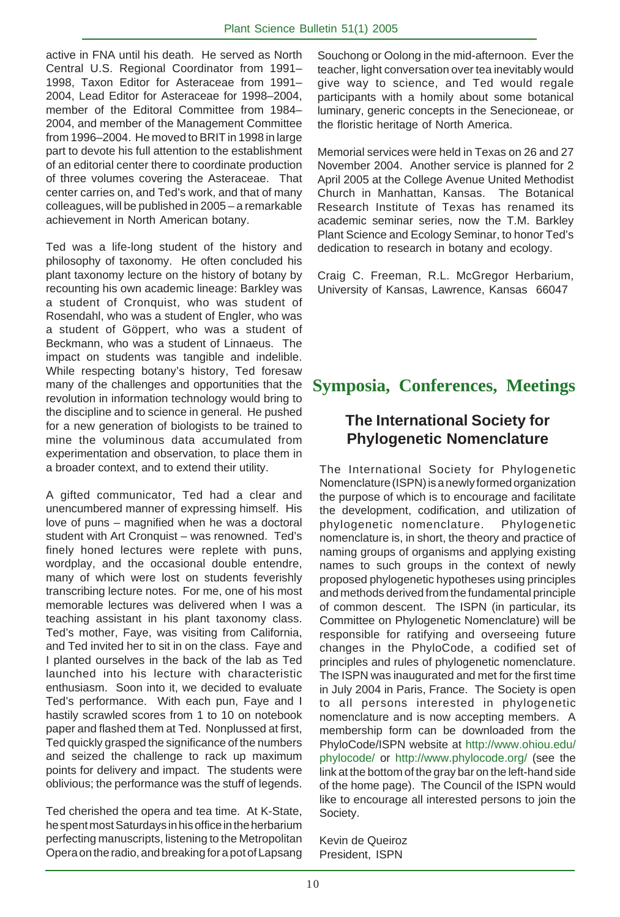active in FNA until his death. He served as North Central U.S. Regional Coordinator from 1991– 1998, Taxon Editor for Asteraceae from 1991– 2004, Lead Editor for Asteraceae for 1998–2004, member of the Editoral Committee from 1984– 2004, and member of the Management Committee from 1996–2004. He moved to BRIT in 1998 in large part to devote his full attention to the establishment of an editorial center there to coordinate production of three volumes covering the Asteraceae. That center carries on, and Ted's work, and that of many colleagues, will be published in 2005 – a remarkable achievement in North American botany.

Ted was a life-long student of the history and philosophy of taxonomy. He often concluded his plant taxonomy lecture on the history of botany by recounting his own academic lineage: Barkley was a student of Cronquist, who was student of Rosendahl, who was a student of Engler, who was a student of Göppert, who was a student of Beckmann, who was a student of Linnaeus. The impact on students was tangible and indelible. While respecting botany's history, Ted foresaw many of the challenges and opportunities that the revolution in information technology would bring to the discipline and to science in general. He pushed for a new generation of biologists to be trained to mine the voluminous data accumulated from experimentation and observation, to place them in a broader context, and to extend their utility.

A gifted communicator, Ted had a clear and unencumbered manner of expressing himself. His love of puns – magnified when he was a doctoral student with Art Cronquist – was renowned. Ted's finely honed lectures were replete with puns, wordplay, and the occasional double entendre, many of which were lost on students feverishly transcribing lecture notes. For me, one of his most memorable lectures was delivered when I was a teaching assistant in his plant taxonomy class. Ted's mother, Faye, was visiting from California, and Ted invited her to sit in on the class. Faye and I planted ourselves in the back of the lab as Ted launched into his lecture with characteristic enthusiasm. Soon into it, we decided to evaluate Ted's performance. With each pun, Faye and I hastily scrawled scores from 1 to 10 on notebook paper and flashed them at Ted. Nonplussed at first, Ted quickly grasped the significance of the numbers and seized the challenge to rack up maximum points for delivery and impact. The students were oblivious; the performance was the stuff of legends.

Ted cherished the opera and tea time. At K-State, he spent most Saturdays in his office in the herbarium perfecting manuscripts, listening to the Metropolitan Opera on the radio, and breaking for a pot of Lapsang Souchong or Oolong in the mid-afternoon. Ever the teacher, light conversation over tea inevitably would give way to science, and Ted would regale participants with a homily about some botanical luminary, generic concepts in the Senecioneae, or the floristic heritage of North America.

Memorial services were held in Texas on 26 and 27 November 2004. Another service is planned for 2 April 2005 at the College Avenue United Methodist Church in Manhattan, Kansas. The Botanical Research Institute of Texas has renamed its academic seminar series, now the T.M. Barkley Plant Science and Ecology Seminar, to honor Ted's dedication to research in botany and ecology.

Craig C. Freeman, R.L. McGregor Herbarium, University of Kansas, Lawrence, Kansas 66047

# **Symposia, Conferences, Meetings**

## **The International Society for Phylogenetic Nomenclature**

The International Society for Phylogenetic Nomenclature (ISPN) is a newly formed organization the purpose of which is to encourage and facilitate the development, codification, and utilization of phylogenetic nomenclature. Phylogenetic nomenclature is, in short, the theory and practice of naming groups of organisms and applying existing names to such groups in the context of newly proposed phylogenetic hypotheses using principles and methods derived from the fundamental principle of common descent. The ISPN (in particular, its Committee on Phylogenetic Nomenclature) will be responsible for ratifying and overseeing future changes in the PhyloCode, a codified set of principles and rules of phylogenetic nomenclature. The ISPN was inaugurated and met for the first time in July 2004 in Paris, France. The Society is open to all persons interested in phylogenetic nomenclature and is now accepting members. A membership form can be downloaded from the PhyloCode/ISPN website at http://www.ohiou.edu/ phylocode/ or http://www.phylocode.org/ (see the link at the bottom of the gray bar on the left-hand side of the home page). The Council of the ISPN would like to encourage all interested persons to join the Society.

Kevin de Queiroz President, ISPN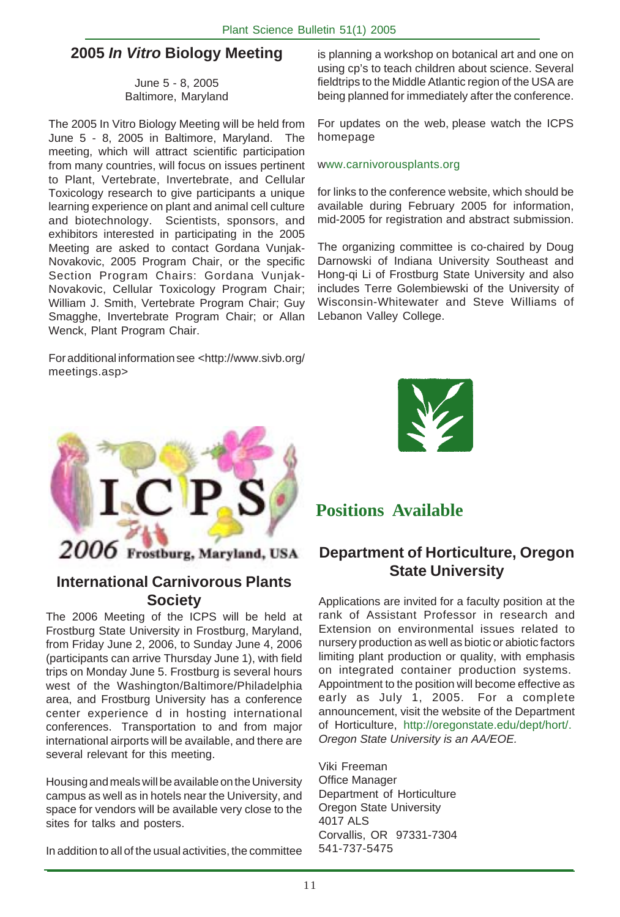## **2005 In Vitro Biology Meeting**

June 5 - 8, 2005 Baltimore, Maryland

The 2005 In Vitro Biology Meeting will be held from June 5 - 8, 2005 in Baltimore, Maryland. The meeting, which will attract scientific participation from many countries, will focus on issues pertinent to Plant, Vertebrate, Invertebrate, and Cellular Toxicology research to give participants a unique learning experience on plant and animal cell culture and biotechnology. Scientists, sponsors, and exhibitors interested in participating in the 2005 Meeting are asked to contact Gordana Vunjak-Novakovic, 2005 Program Chair, or the specific Section Program Chairs: Gordana Vunjak-Novakovic, Cellular Toxicology Program Chair; William J. Smith, Vertebrate Program Chair; Guy Smagghe, Invertebrate Program Chair; or Allan Wenck, Plant Program Chair.

For additional information see <http://www.sivb.org/ meetings.asp>



## **International Carnivorous Plants Society**

The 2006 Meeting of the ICPS will be held at Frostburg State University in Frostburg, Maryland, from Friday June 2, 2006, to Sunday June 4, 2006 (participants can arrive Thursday June 1), with field trips on Monday June 5. Frostburg is several hours west of the Washington/Baltimore/Philadelphia area, and Frostburg University has a conference center experience d in hosting international conferences. Transportation to and from major international airports will be available, and there are several relevant for this meeting.

Housing and meals will be available on the University campus as well as in hotels near the University, and space for vendors will be available very close to the sites for talks and posters.

In addition to all of the usual activities, the committee

is planning a workshop on botanical art and one on using cp's to teach children about science. Several fieldtrips to the Middle Atlantic region of the USA are being planned for immediately after the conference.

For updates on the web, please watch the ICPS homepage

#### www.carnivorousplants.org

for links to the conference website, which should be available during February 2005 for information, mid-2005 for registration and abstract submission.

The organizing committee is co-chaired by Doug Darnowski of Indiana University Southeast and Hong-qi Li of Frostburg State University and also includes Terre Golembiewski of the University of Wisconsin-Whitewater and Steve Williams of Lebanon Valley College.



# **Positions Available**

## **Department of Horticulture, Oregon State University**

Applications are invited for a faculty position at the rank of Assistant Professor in research and Extension on environmental issues related to nursery production as well as biotic or abiotic factors limiting plant production or quality, with emphasis on integrated container production systems. Appointment to the position will become effective as early as July 1, 2005. For a complete announcement, visit the website of the Department of Horticulture, http://oregonstate.edu/dept/hort/. Oregon State University is an AA/EOE.

Viki Freeman Office Manager Department of Horticulture Oregon State University 4017 ALS Corvallis, OR 97331-7304 541-737-5475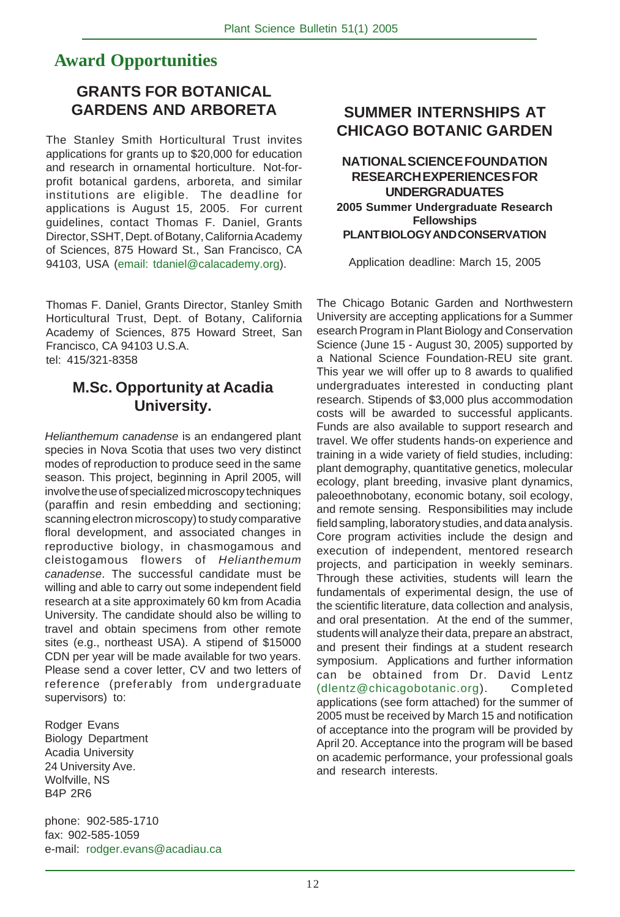# **Award Opportunities**

## **GRANTS FOR BOTANICAL GARDENS AND ARBORETA**

The Stanley Smith Horticultural Trust invites applications for grants up to \$20,000 for education and research in ornamental horticulture. Not-forprofit botanical gardens, arboreta, and similar institutions are eligible. The deadline for applications is August 15, 2005. For current guidelines, contact Thomas F. Daniel, Grants Director, SSHT, Dept. of Botany, California Academy of Sciences, 875 Howard St., San Francisco, CA 94103, USA (email: tdaniel@calacademy.org).

Thomas F. Daniel, Grants Director, Stanley Smith Horticultural Trust, Dept. of Botany, California Academy of Sciences, 875 Howard Street, San Francisco, CA 94103 U.S.A. tel: 415/321-8358

## **M.Sc. Opportunity at Acadia University.**

Helianthemum canadense is an endangered plant species in Nova Scotia that uses two very distinct modes of reproduction to produce seed in the same season. This project, beginning in April 2005, will involve the use of specialized microscopy techniques (paraffin and resin embedding and sectioning; scanning electron microscopy) to study comparative floral development, and associated changes in reproductive biology, in chasmogamous and cleistogamous flowers of Helianthemum canadense. The successful candidate must be willing and able to carry out some independent field research at a site approximately 60 km from Acadia University. The candidate should also be willing to travel and obtain specimens from other remote sites (e.g., northeast USA). A stipend of \$15000 CDN per year will be made available for two years. Please send a cover letter, CV and two letters of reference (preferably from undergraduate supervisors) to:

Rodger Evans Biology Department Acadia University 24 University Ave. Wolfville, NS B4P 2R6

phone: 902-585-1710 fax: 902-585-1059 e-mail: rodger.evans@acadiau.ca

## **SUMMER INTERNSHIPS AT CHICAGO BOTANIC GARDEN**

#### **NATIONAL SCIENCE FOUNDATION RESEARCH EXPERIENCES FOR UNDERGRADUATES 2005 Summer Undergraduate Research Fellowships PLANT BIOLOGY AND CONSERVATION**

Application deadline: March 15, 2005

The Chicago Botanic Garden and Northwestern University are accepting applications for a Summer esearch Program in Plant Biology and Conservation Science (June 15 - August 30, 2005) supported by a National Science Foundation-REU site grant. This year we will offer up to 8 awards to qualified undergraduates interested in conducting plant research. Stipends of \$3,000 plus accommodation costs will be awarded to successful applicants. Funds are also available to support research and travel. We offer students hands-on experience and training in a wide variety of field studies, including: plant demography, quantitative genetics, molecular ecology, plant breeding, invasive plant dynamics, paleoethnobotany, economic botany, soil ecology, and remote sensing. Responsibilities may include field sampling, laboratory studies, and data analysis. Core program activities include the design and execution of independent, mentored research projects, and participation in weekly seminars. Through these activities, students will learn the fundamentals of experimental design, the use of the scientific literature, data collection and analysis, and oral presentation. At the end of the summer, students will analyze their data, prepare an abstract, and present their findings at a student research symposium. Applications and further information can be obtained from Dr. David Lentz (dlentz@chicagobotanic.org). Completed applications (see form attached) for the summer of 2005 must be received by March 15 and notification of acceptance into the program will be provided by April 20. Acceptance into the program will be based on academic performance, your professional goals and research interests.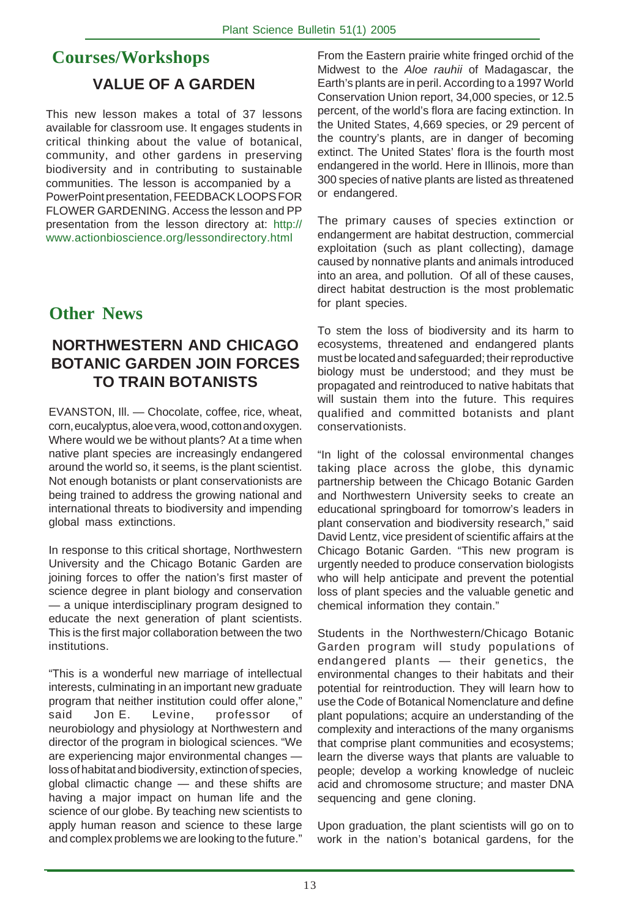# **Courses/Workshops VALUE OF A GARDEN**

This new lesson makes a total of 37 lessons available for classroom use. It engages students in critical thinking about the value of botanical, community, and other gardens in preserving biodiversity and in contributing to sustainable communities. The lesson is accompanied by a PowerPoint presentation, FEEDBACK LOOPS FOR FLOWER GARDENING. Access the lesson and PP presentation from the lesson directory at: http:// www.actionbioscience.org/lessondirectory.html

# **Other News**

## **NORTHWESTERN AND CHICAGO BOTANIC GARDEN JOIN FORCES TO TRAIN BOTANISTS**

EVANSTON, Ill. — Chocolate, coffee, rice, wheat, corn, eucalyptus, aloe vera, wood, cotton and oxygen. Where would we be without plants? At a time when native plant species are increasingly endangered around the world so, it seems, is the plant scientist. Not enough botanists or plant conservationists are being trained to address the growing national and international threats to biodiversity and impending global mass extinctions.

In response to this critical shortage, Northwestern University and the Chicago Botanic Garden are joining forces to offer the nation's first master of science degree in plant biology and conservation — a unique interdisciplinary program designed to educate the next generation of plant scientists. This is the first major collaboration between the two institutions.

"This is a wonderful new marriage of intellectual interests, culminating in an important new graduate program that neither institution could offer alone," said Jon E. Levine, professor of neurobiology and physiology at Northwestern and director of the program in biological sciences. "We are experiencing major environmental changes loss of habitat and biodiversity, extinction of species, global climactic change — and these shifts are having a major impact on human life and the science of our globe. By teaching new scientists to apply human reason and science to these large and complex problems we are looking to the future."

From the Eastern prairie white fringed orchid of the Midwest to the Aloe rauhii of Madagascar, the Earth's plants are in peril. According to a 1997 World Conservation Union report, 34,000 species, or 12.5 percent, of the world's flora are facing extinction. In the United States, 4,669 species, or 29 percent of the country's plants, are in danger of becoming extinct. The United States' flora is the fourth most endangered in the world. Here in Illinois, more than 300 species of native plants are listed as threatened or endangered.

The primary causes of species extinction or endangerment are habitat destruction, commercial exploitation (such as plant collecting), damage caused by nonnative plants and animals introduced into an area, and pollution. Of all of these causes, direct habitat destruction is the most problematic for plant species.

To stem the loss of biodiversity and its harm to ecosystems, threatened and endangered plants must be located and safeguarded; their reproductive biology must be understood; and they must be propagated and reintroduced to native habitats that will sustain them into the future. This requires qualified and committed botanists and plant conservationists.

"In light of the colossal environmental changes taking place across the globe, this dynamic partnership between the Chicago Botanic Garden and Northwestern University seeks to create an educational springboard for tomorrow's leaders in plant conservation and biodiversity research," said David Lentz, vice president of scientific affairs at the Chicago Botanic Garden. "This new program is urgently needed to produce conservation biologists who will help anticipate and prevent the potential loss of plant species and the valuable genetic and chemical information they contain."

Students in the Northwestern/Chicago Botanic Garden program will study populations of endangered plants — their genetics, the environmental changes to their habitats and their potential for reintroduction. They will learn how to use the Code of Botanical Nomenclature and define plant populations; acquire an understanding of the complexity and interactions of the many organisms that comprise plant communities and ecosystems; learn the diverse ways that plants are valuable to people; develop a working knowledge of nucleic acid and chromosome structure; and master DNA sequencing and gene cloning.

Upon graduation, the plant scientists will go on to work in the nation's botanical gardens, for the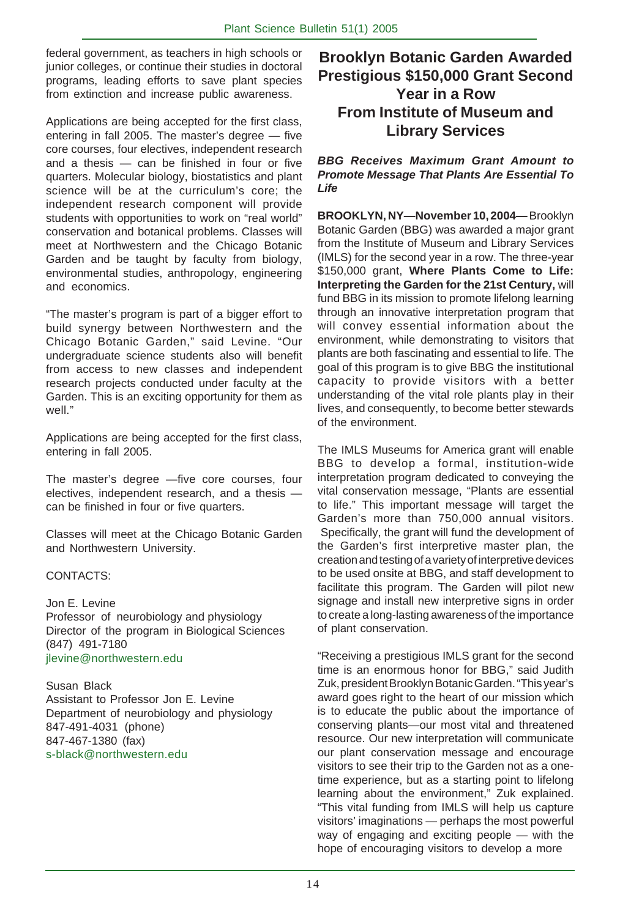federal government, as teachers in high schools or junior colleges, or continue their studies in doctoral programs, leading efforts to save plant species from extinction and increase public awareness.

Applications are being accepted for the first class, entering in fall 2005. The master's degree — five core courses, four electives, independent research and a thesis — can be finished in four or five quarters. Molecular biology, biostatistics and plant science will be at the curriculum's core; the independent research component will provide students with opportunities to work on "real world" conservation and botanical problems. Classes will meet at Northwestern and the Chicago Botanic Garden and be taught by faculty from biology, environmental studies, anthropology, engineering and economics.

"The master's program is part of a bigger effort to build synergy between Northwestern and the Chicago Botanic Garden," said Levine. "Our undergraduate science students also will benefit from access to new classes and independent research projects conducted under faculty at the Garden. This is an exciting opportunity for them as well."

Applications are being accepted for the first class, entering in fall 2005.

The master's degree —five core courses, four electives, independent research, and a thesis can be finished in four or five quarters.

Classes will meet at the Chicago Botanic Garden and Northwestern University.

#### CONTACTS:

Jon E. Levine Professor of neurobiology and physiology Director of the program in Biological Sciences (847) 491-7180 jlevine@northwestern.edu

Susan Black Assistant to Professor Jon E. Levine Department of neurobiology and physiology 847-491-4031 (phone) 847-467-1380 (fax) s-black@northwestern.edu

## **Brooklyn Botanic Garden Awarded Prestigious \$150,000 Grant Second Year in a Row From Institute of Museum and Library Services**

**BBG Receives Maximum Grant Amount to Promote Message That Plants Are Essential To Life**

**BROOKLYN, NY—November 10, 2004—** Brooklyn Botanic Garden (BBG) was awarded a major grant from the Institute of Museum and Library Services (IMLS) for the second year in a row. The three-year \$150,000 grant, **Where Plants Come to Life: Interpreting the Garden for the 21st Century,** will fund BBG in its mission to promote lifelong learning through an innovative interpretation program that will convey essential information about the environment, while demonstrating to visitors that plants are both fascinating and essential to life. The goal of this program is to give BBG the institutional capacity to provide visitors with a better understanding of the vital role plants play in their lives, and consequently, to become better stewards of the environment.

The IMLS Museums for America grant will enable BBG to develop a formal, institution-wide interpretation program dedicated to conveying the vital conservation message, "Plants are essential to life." This important message will target the Garden's more than 750,000 annual visitors. Specifically, the grant will fund the development of the Garden's first interpretive master plan, the creation and testing of a variety of interpretive devices to be used onsite at BBG, and staff development to facilitate this program. The Garden will pilot new signage and install new interpretive signs in order to create a long-lasting awareness of the importance of plant conservation.

"Receiving a prestigious IMLS grant for the second time is an enormous honor for BBG," said Judith Zuk, president Brooklyn Botanic Garden. "This year's award goes right to the heart of our mission which is to educate the public about the importance of conserving plants—our most vital and threatened resource. Our new interpretation will communicate our plant conservation message and encourage visitors to see their trip to the Garden not as a onetime experience, but as a starting point to lifelong learning about the environment," Zuk explained. "This vital funding from IMLS will help us capture visitors' imaginations — perhaps the most powerful way of engaging and exciting people — with the hope of encouraging visitors to develop a more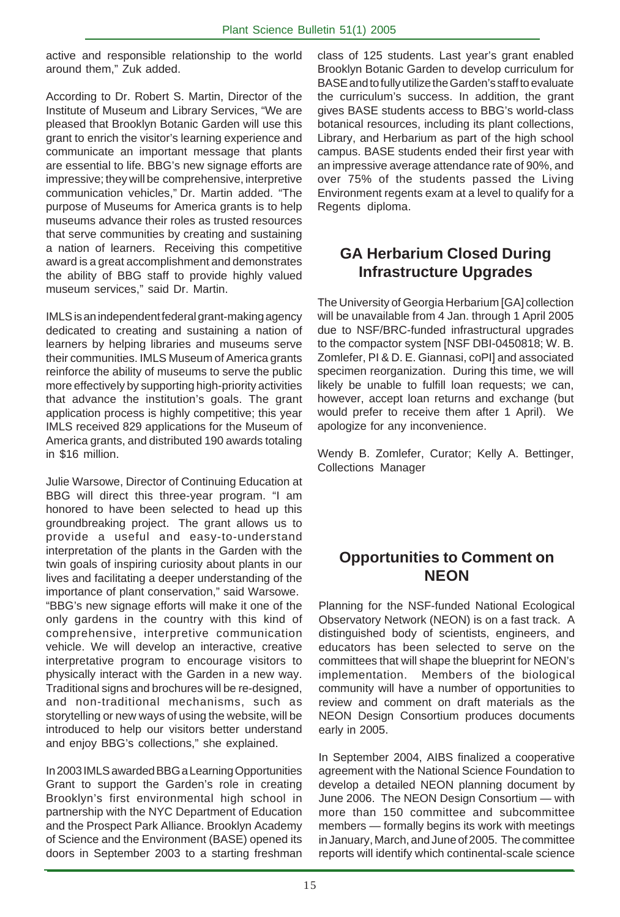active and responsible relationship to the world around them," Zuk added.

According to Dr. Robert S. Martin, Director of the Institute of Museum and Library Services, "We are pleased that Brooklyn Botanic Garden will use this grant to enrich the visitor's learning experience and communicate an important message that plants are essential to life. BBG's new signage efforts are impressive; they will be comprehensive, interpretive communication vehicles," Dr. Martin added. "The purpose of Museums for America grants is to help museums advance their roles as trusted resources that serve communities by creating and sustaining a nation of learners. Receiving this competitive award is a great accomplishment and demonstrates the ability of BBG staff to provide highly valued museum services," said Dr. Martin.

IMLS is an independent federal grant-making agency dedicated to creating and sustaining a nation of learners by helping libraries and museums serve their communities. IMLS Museum of America grants reinforce the ability of museums to serve the public more effectively by supporting high-priority activities that advance the institution's goals. The grant application process is highly competitive; this year IMLS received 829 applications for the Museum of America grants, and distributed 190 awards totaling in \$16 million.

Julie Warsowe, Director of Continuing Education at BBG will direct this three-year program. "I am honored to have been selected to head up this groundbreaking project. The grant allows us to provide a useful and easy-to-understand interpretation of the plants in the Garden with the twin goals of inspiring curiosity about plants in our lives and facilitating a deeper understanding of the importance of plant conservation," said Warsowe. "BBG's new signage efforts will make it one of the only gardens in the country with this kind of comprehensive, interpretive communication vehicle. We will develop an interactive, creative interpretative program to encourage visitors to physically interact with the Garden in a new way. Traditional signs and brochures will be re-designed, and non-traditional mechanisms, such as storytelling or new ways of using the website, will be introduced to help our visitors better understand and enjoy BBG's collections," she explained.

In 2003 IMLS awarded BBG a Learning Opportunities Grant to support the Garden's role in creating Brooklyn's first environmental high school in partnership with the NYC Department of Education and the Prospect Park Alliance. Brooklyn Academy of Science and the Environment (BASE) opened its doors in September 2003 to a starting freshman

class of 125 students. Last year's grant enabled Brooklyn Botanic Garden to develop curriculum for BASE and to fully utilize the Garden's staff to evaluate the curriculum's success. In addition, the grant gives BASE students access to BBG's world-class botanical resources, including its plant collections, Library, and Herbarium as part of the high school campus. BASE students ended their first year with an impressive average attendance rate of 90%, and over 75% of the students passed the Living Environment regents exam at a level to qualify for a Regents diploma.

# **GA Herbarium Closed During Infrastructure Upgrades**

The University of Georgia Herbarium [GA] collection will be unavailable from 4 Jan. through 1 April 2005 due to NSF/BRC-funded infrastructural upgrades to the compactor system [NSF DBI-0450818; W. B. Zomlefer, PI & D. E. Giannasi, coPI] and associated specimen reorganization. During this time, we will likely be unable to fulfill loan requests; we can, however, accept loan returns and exchange (but would prefer to receive them after 1 April). We apologize for any inconvenience.

Wendy B. Zomlefer, Curator; Kelly A. Bettinger, Collections Manager

## **Opportunities to Comment on NEON**

Planning for the NSF-funded National Ecological Observatory Network (NEON) is on a fast track. A distinguished body of scientists, engineers, and educators has been selected to serve on the committees that will shape the blueprint for NEON's implementation. Members of the biological community will have a number of opportunities to review and comment on draft materials as the NEON Design Consortium produces documents early in 2005.

In September 2004, AIBS finalized a cooperative agreement with the National Science Foundation to develop a detailed NEON planning document by June 2006. The NEON Design Consortium — with more than 150 committee and subcommittee members — formally begins its work with meetings in January, March, and June of 2005. The committee reports will identify which continental-scale science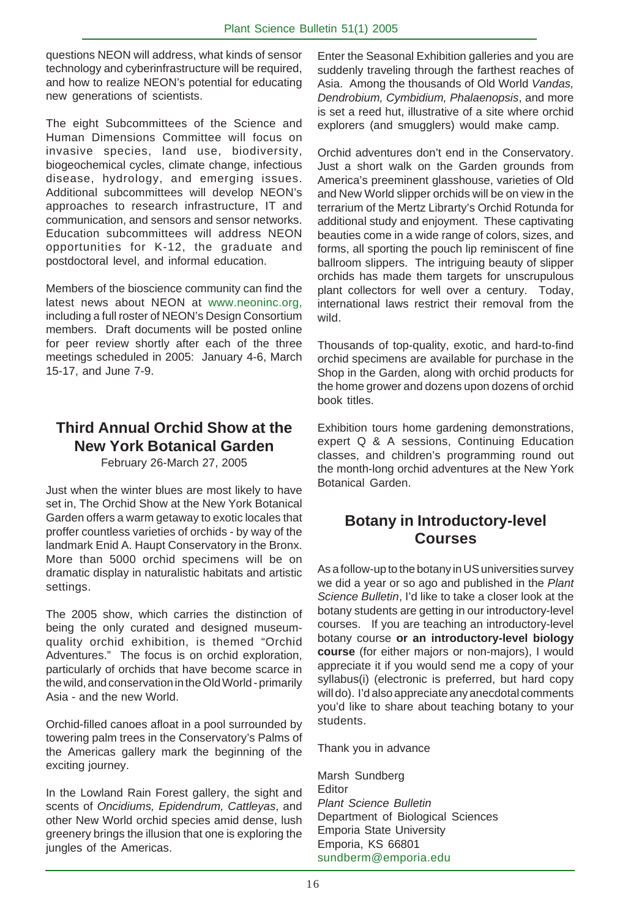questions NEON will address, what kinds of sensor technology and cyberinfrastructure will be required, and how to realize NEON's potential for educating new generations of scientists.

The eight Subcommittees of the Science and Human Dimensions Committee will focus on invasive species, land use, biodiversity, biogeochemical cycles, climate change, infectious disease, hydrology, and emerging issues. Additional subcommittees will develop NEON's approaches to research infrastructure, IT and communication, and sensors and sensor networks. Education subcommittees will address NEON opportunities for K-12, the graduate and postdoctoral level, and informal education.

Members of the bioscience community can find the latest news about NEON at www.neoninc.org, including a full roster of NEON's Design Consortium members. Draft documents will be posted online for peer review shortly after each of the three meetings scheduled in 2005: January 4-6, March 15-17, and June 7-9.

# **Third Annual Orchid Show at the New York Botanical Garden**

February 26-March 27, 2005

Just when the winter blues are most likely to have set in, The Orchid Show at the New York Botanical Garden offers a warm getaway to exotic locales that proffer countless varieties of orchids - by way of the landmark Enid A. Haupt Conservatory in the Bronx. More than 5000 orchid specimens will be on dramatic display in naturalistic habitats and artistic settings.

The 2005 show, which carries the distinction of being the only curated and designed museumquality orchid exhibition, is themed "Orchid Adventures." The focus is on orchid exploration, particularly of orchids that have become scarce in the wild, and conservation in the Old World - primarily Asia - and the new World.

Orchid-filled canoes afloat in a pool surrounded by towering palm trees in the Conservatory's Palms of the Americas gallery mark the beginning of the exciting journey.

In the Lowland Rain Forest gallery, the sight and scents of Oncidiums, Epidendrum, Cattleyas, and other New World orchid species amid dense, lush greenery brings the illusion that one is exploring the jungles of the Americas.

Enter the Seasonal Exhibition galleries and you are suddenly traveling through the farthest reaches of Asia. Among the thousands of Old World Vandas, Dendrobium, Cymbidium, Phalaenopsis, and more is set a reed hut, illustrative of a site where orchid explorers (and smugglers) would make camp.

Orchid adventures don't end in the Conservatory. Just a short walk on the Garden grounds from America's preeminent glasshouse, varieties of Old and New World slipper orchids will be on view in the terrarium of the Mertz Librarty's Orchid Rotunda for additional study and enjoyment. These captivating beauties come in a wide range of colors, sizes, and forms, all sporting the pouch lip reminiscent of fine ballroom slippers. The intriguing beauty of slipper orchids has made them targets for unscrupulous plant collectors for well over a century. Today, international laws restrict their removal from the wild.

Thousands of top-quality, exotic, and hard-to-find orchid specimens are available for purchase in the Shop in the Garden, along with orchid products for the home grower and dozens upon dozens of orchid book titles.

Exhibition tours home gardening demonstrations, expert Q & A sessions, Continuing Education classes, and children's programming round out the month-long orchid adventures at the New York Botanical Garden.

# **Botany in Introductory-level Courses**

As a follow-up to the botany in US universities survey we did a year or so ago and published in the Plant Science Bulletin, I'd like to take a closer look at the botany students are getting in our introductory-level courses. If you are teaching an introductory-level botany course **or an introductory-level biology course** (for either majors or non-majors), I would appreciate it if you would send me a copy of your syllabus(i) (electronic is preferred, but hard copy will do). I'd also appreciate any anecdotal comments you'd like to share about teaching botany to your students.

Thank you in advance

Marsh Sundberg Editor Plant Science Bulletin Department of Biological Sciences Emporia State University Emporia, KS 66801 sundberm@emporia.edu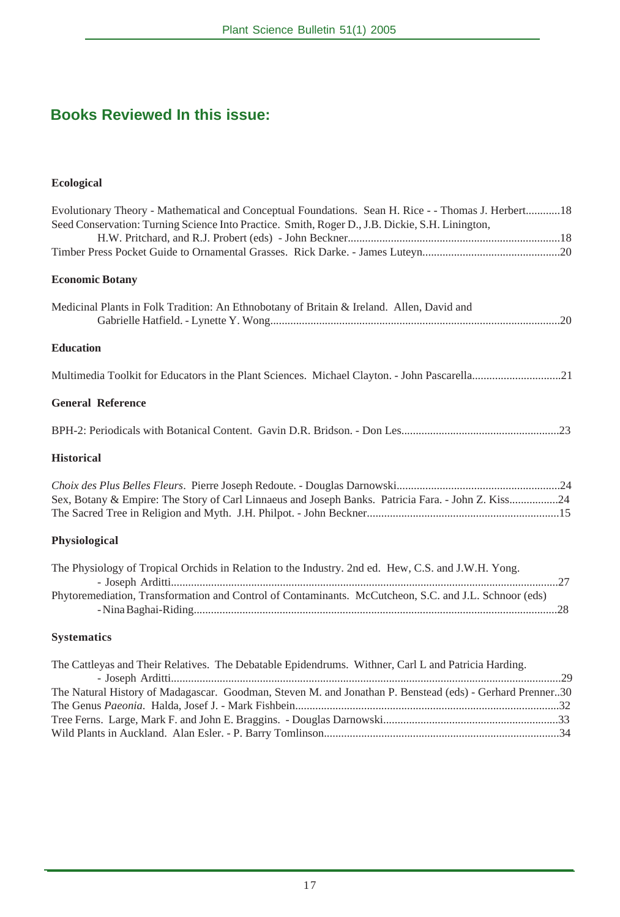# **Books Reviewed In this issue:**

## **Ecological**

| Evolutionary Theory - Mathematical and Conceptual Foundations. Sean H. Rice - - Thomas J. Herbert18<br>Seed Conservation: Turning Science Into Practice. Smith, Roger D., J.B. Dickie, S.H. Linington, |
|--------------------------------------------------------------------------------------------------------------------------------------------------------------------------------------------------------|
|                                                                                                                                                                                                        |
|                                                                                                                                                                                                        |
| <b>Economic Botany</b>                                                                                                                                                                                 |
| Medicinal Plants in Folk Tradition: An Ethnobotany of Britain & Ireland. Allen, David and                                                                                                              |
| <b>Education</b>                                                                                                                                                                                       |
| Multimedia Toolkit for Educators in the Plant Sciences. Michael Clayton. - John Pascarella21                                                                                                           |
| <b>General Reference</b>                                                                                                                                                                               |
|                                                                                                                                                                                                        |
| <b>Historical</b>                                                                                                                                                                                      |
| Sex, Botany & Empire: The Story of Carl Linnaeus and Joseph Banks. Patricia Fara. - John Z. Kiss24                                                                                                     |
| Physiological                                                                                                                                                                                          |
| The Physiology of Tropical Orchids in Relation to the Industry. 2nd ed. Hew, C.S. and J.W.H. Yong.                                                                                                     |
| Phytoremediation, Transformation and Control of Contaminants. McCutcheon, S.C. and J.L. Schnoor (eds)                                                                                                  |
| <b>Systematics</b>                                                                                                                                                                                     |
| The Cattleyas and Their Relatives. The Debatable Epidendrums. Withner, Carl L and Patricia Harding.                                                                                                    |

| The Natural History of Madagascar. Goodman, Steven M. and Jonathan P. Benstead (eds) - Gerhard Prenner30 |  |
|----------------------------------------------------------------------------------------------------------|--|
|                                                                                                          |  |
|                                                                                                          |  |
|                                                                                                          |  |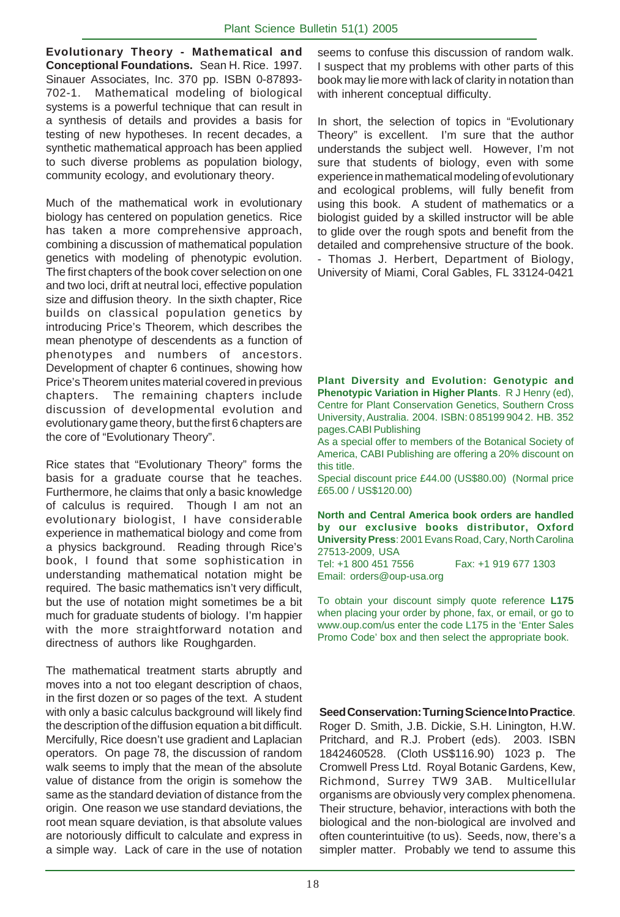**Evolutionary Theory - Mathematical and Conceptional Foundations.** Sean H. Rice. 1997. Sinauer Associates, Inc. 370 pp. ISBN 0-87893- 702-1. Mathematical modeling of biological systems is a powerful technique that can result in a synthesis of details and provides a basis for testing of new hypotheses. In recent decades, a synthetic mathematical approach has been applied to such diverse problems as population biology, community ecology, and evolutionary theory.

Much of the mathematical work in evolutionary biology has centered on population genetics. Rice has taken a more comprehensive approach, combining a discussion of mathematical population genetics with modeling of phenotypic evolution. The first chapters of the book cover selection on one and two loci, drift at neutral loci, effective population size and diffusion theory. In the sixth chapter, Rice builds on classical population genetics by introducing Price's Theorem, which describes the mean phenotype of descendents as a function of phenotypes and numbers of ancestors. Development of chapter 6 continues, showing how Price's Theorem unites material covered in previous chapters. The remaining chapters include discussion of developmental evolution and evolutionary game theory, but the first 6 chapters are the core of "Evolutionary Theory".

Rice states that "Evolutionary Theory" forms the basis for a graduate course that he teaches. Furthermore, he claims that only a basic knowledge of calculus is required. Though I am not an evolutionary biologist, I have considerable experience in mathematical biology and come from a physics background. Reading through Rice's book, I found that some sophistication in understanding mathematical notation might be required. The basic mathematics isn't very difficult, but the use of notation might sometimes be a bit much for graduate students of biology. I'm happier with the more straightforward notation and directness of authors like Roughgarden.

The mathematical treatment starts abruptly and moves into a not too elegant description of chaos, in the first dozen or so pages of the text. A student with only a basic calculus background will likely find the description of the diffusion equation a bit difficult. Mercifully, Rice doesn't use gradient and Laplacian operators. On page 78, the discussion of random walk seems to imply that the mean of the absolute value of distance from the origin is somehow the same as the standard deviation of distance from the origin. One reason we use standard deviations, the root mean square deviation, is that absolute values are notoriously difficult to calculate and express in a simple way. Lack of care in the use of notation

seems to confuse this discussion of random walk. I suspect that my problems with other parts of this book may lie more with lack of clarity in notation than with inherent conceptual difficulty.

In short, the selection of topics in "Evolutionary Theory" is excellent. I'm sure that the author understands the subject well. However, I'm not sure that students of biology, even with some experience in mathematical modeling of evolutionary and ecological problems, will fully benefit from using this book. A student of mathematics or a biologist guided by a skilled instructor will be able to glide over the rough spots and benefit from the detailed and comprehensive structure of the book. - Thomas J. Herbert, Department of Biology, University of Miami, Coral Gables, FL 33124-0421

**Plant Diversity and Evolution: Genotypic and Phenotypic Variation in Higher Plants**. R J Henry (ed), Centre for Plant Conservation Genetics, Southern Cross University, Australia. 2004. ISBN: 0 85199 904 2. HB. 352 pages.CABI Publishing

As a special offer to members of the Botanical Society of America, CABI Publishing are offering a 20% discount on this title.

Special discount price £44.00 (US\$80.00) (Normal price £65.00 / US\$120.00)

**North and Central America book orders are handled by our exclusive books distributor, Oxford University Press**: 2001 Evans Road, Cary, North Carolina 27513-2009, USA<br>Tel: +1 800 451 7556

Fax: +1 919 677 1303 Email: orders@oup-usa.org

To obtain your discount simply quote reference **L175** when placing your order by phone, fax, or email, or go to www.oup.com/us enter the code L175 in the 'Enter Sales Promo Code' box and then select the appropriate book.

**Seed Conservation: Turning Science Into Practice**.

Roger D. Smith, J.B. Dickie, S.H. Linington, H.W. Pritchard, and R.J. Probert (eds). 2003. ISBN 1842460528. (Cloth US\$116.90) 1023 p. The Cromwell Press Ltd. Royal Botanic Gardens, Kew, Richmond, Surrey TW9 3AB. Multicellular organisms are obviously very complex phenomena. Their structure, behavior, interactions with both the biological and the non-biological are involved and often counterintuitive (to us). Seeds, now, there's a simpler matter. Probably we tend to assume this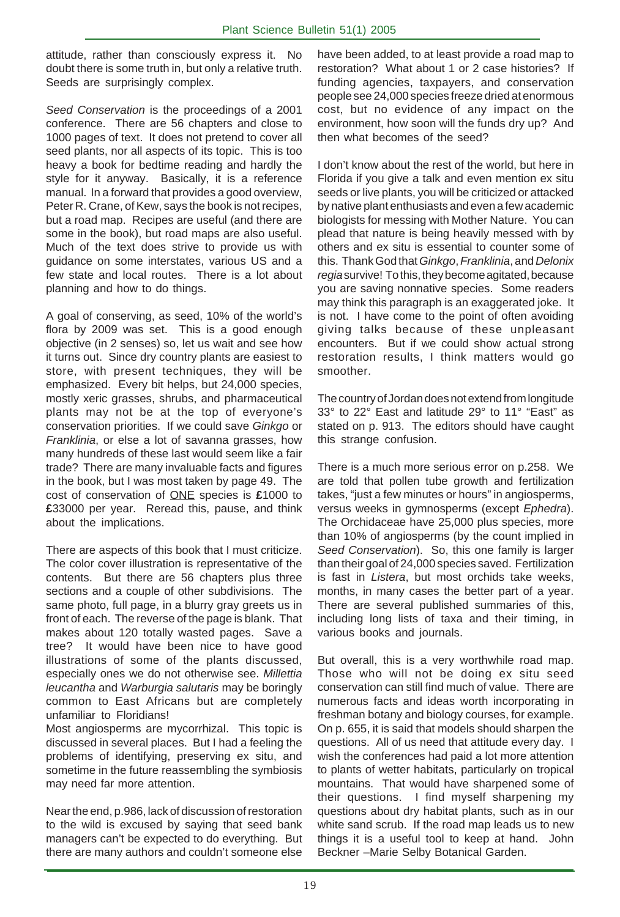attitude, rather than consciously express it. No doubt there is some truth in, but only a relative truth. Seeds are surprisingly complex.

Seed Conservation is the proceedings of a 2001 conference. There are 56 chapters and close to 1000 pages of text. It does not pretend to cover all seed plants, nor all aspects of its topic. This is too heavy a book for bedtime reading and hardly the style for it anyway. Basically, it is a reference manual. In a forward that provides a good overview, Peter R. Crane, of Kew, says the book is not recipes, but a road map. Recipes are useful (and there are some in the book), but road maps are also useful. Much of the text does strive to provide us with guidance on some interstates, various US and a few state and local routes. There is a lot about planning and how to do things.

A goal of conserving, as seed, 10% of the world's flora by 2009 was set. This is a good enough objective (in 2 senses) so, let us wait and see how it turns out. Since dry country plants are easiest to store, with present techniques, they will be emphasized. Every bit helps, but 24,000 species, mostly xeric grasses, shrubs, and pharmaceutical plants may not be at the top of everyone's conservation priorities. If we could save Ginkgo or Franklinia, or else a lot of savanna grasses, how many hundreds of these last would seem like a fair trade? There are many invaluable facts and figures in the book, but I was most taken by page 49. The cost of conservation of ONE species is **£**1000 to **£**33000 per year. Reread this, pause, and think about the implications.

There are aspects of this book that I must criticize. The color cover illustration is representative of the contents. But there are 56 chapters plus three sections and a couple of other subdivisions. The same photo, full page, in a blurry gray greets us in front of each. The reverse of the page is blank. That makes about 120 totally wasted pages. Save a tree? It would have been nice to have good illustrations of some of the plants discussed, especially ones we do not otherwise see. Millettia leucantha and Warburgia salutaris may be boringly common to East Africans but are completely unfamiliar to Floridians!

Most angiosperms are mycorrhizal. This topic is discussed in several places. But I had a feeling the problems of identifying, preserving ex situ, and sometime in the future reassembling the symbiosis may need far more attention.

Near the end, p.986, lack of discussion of restoration to the wild is excused by saying that seed bank managers can't be expected to do everything. But there are many authors and couldn't someone else

have been added, to at least provide a road map to restoration? What about 1 or 2 case histories? If funding agencies, taxpayers, and conservation people see 24,000 species freeze dried at enormous cost, but no evidence of any impact on the environment, how soon will the funds dry up? And then what becomes of the seed?

I don't know about the rest of the world, but here in Florida if you give a talk and even mention ex situ seeds or live plants, you will be criticized or attacked by native plant enthusiasts and even a few academic biologists for messing with Mother Nature. You can plead that nature is being heavily messed with by others and ex situ is essential to counter some of this. Thank God that Ginkgo, Franklinia, and Delonix regia survive! To this, they become agitated, because you are saving nonnative species. Some readers may think this paragraph is an exaggerated joke. It is not. I have come to the point of often avoiding giving talks because of these unpleasant encounters. But if we could show actual strong restoration results, I think matters would go smoother.

The country of Jordan does not extend from longitude 33° to 22° East and latitude 29° to 11° "East" as stated on p. 913. The editors should have caught this strange confusion.

There is a much more serious error on p.258. We are told that pollen tube growth and fertilization takes, "just a few minutes or hours" in angiosperms, versus weeks in gymnosperms (except Ephedra). The Orchidaceae have 25,000 plus species, more than 10% of angiosperms (by the count implied in Seed Conservation). So, this one family is larger than their goal of 24,000 species saved. Fertilization is fast in Listera, but most orchids take weeks, months, in many cases the better part of a year. There are several published summaries of this, including long lists of taxa and their timing, in various books and journals.

But overall, this is a very worthwhile road map. Those who will not be doing ex situ seed conservation can still find much of value. There are numerous facts and ideas worth incorporating in freshman botany and biology courses, for example. On p. 655, it is said that models should sharpen the questions. All of us need that attitude every day. I wish the conferences had paid a lot more attention to plants of wetter habitats, particularly on tropical mountains. That would have sharpened some of their questions. I find myself sharpening my questions about dry habitat plants, such as in our white sand scrub. If the road map leads us to new things it is a useful tool to keep at hand. John Beckner –Marie Selby Botanical Garden.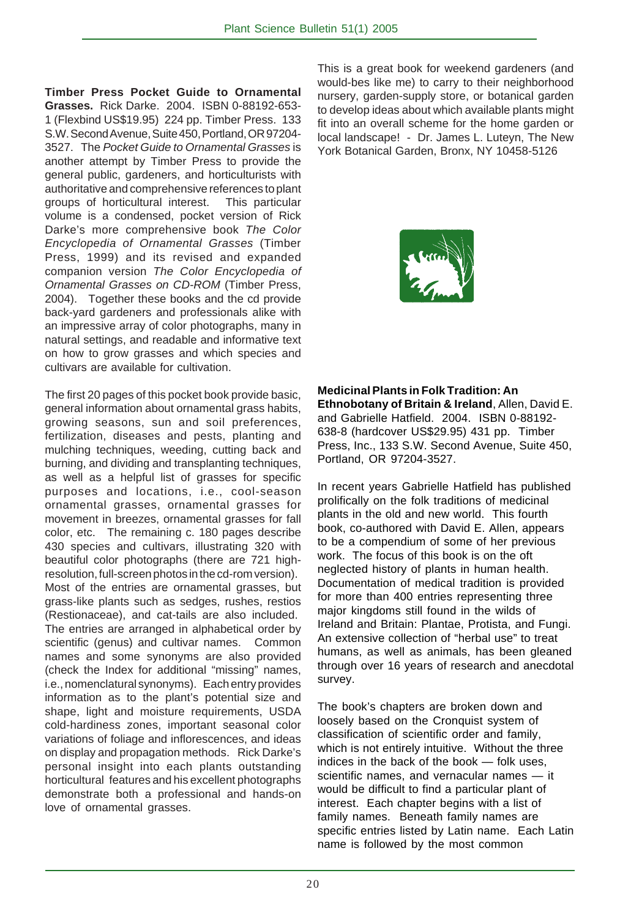**Timber Press Pocket Guide to Ornamental Grasses.** Rick Darke. 2004. ISBN 0-88192-653- 1 (Flexbind US\$19.95) 224 pp. Timber Press. 133 S.W. Second Avenue, Suite 450, Portland, OR 97204- 3527. The Pocket Guide to Ornamental Grasses is another attempt by Timber Press to provide the general public, gardeners, and horticulturists with authoritative and comprehensive references to plant groups of horticultural interest. This particular volume is a condensed, pocket version of Rick Darke's more comprehensive book The Color Encyclopedia of Ornamental Grasses (Timber Press, 1999) and its revised and expanded companion version The Color Encyclopedia of Ornamental Grasses on CD-ROM (Timber Press, 2004). Together these books and the cd provide back-yard gardeners and professionals alike with an impressive array of color photographs, many in natural settings, and readable and informative text on how to grow grasses and which species and cultivars are available for cultivation.

The first 20 pages of this pocket book provide basic, general information about ornamental grass habits, growing seasons, sun and soil preferences, fertilization, diseases and pests, planting and mulching techniques, weeding, cutting back and burning, and dividing and transplanting techniques, as well as a helpful list of grasses for specific purposes and locations, i.e., cool-season ornamental grasses, ornamental grasses for movement in breezes, ornamental grasses for fall color, etc. The remaining c. 180 pages describe 430 species and cultivars, illustrating 320 with beautiful color photographs (there are 721 highresolution, full-screen photos in the cd-rom version). Most of the entries are ornamental grasses, but grass-like plants such as sedges, rushes, restios (Restionaceae), and cat-tails are also included. The entries are arranged in alphabetical order by scientific (genus) and cultivar names. Common names and some synonyms are also provided (check the Index for additional "missing" names, i.e., nomenclatural synonyms). Each entry provides information as to the plant's potential size and shape, light and moisture requirements, USDA cold-hardiness zones, important seasonal color variations of foliage and inflorescences, and ideas on display and propagation methods. Rick Darke's personal insight into each plants outstanding horticultural features and his excellent photographs demonstrate both a professional and hands-on love of ornamental grasses.

This is a great book for weekend gardeners (and would-bes like me) to carry to their neighborhood nursery, garden-supply store, or botanical garden to develop ideas about which available plants might fit into an overall scheme for the home garden or local landscape! - Dr. James L. Luteyn, The New York Botanical Garden, Bronx, NY 10458-5126



**Medicinal Plants in Folk Tradition: An Ethnobotany of Britain & Ireland**, Allen, David E. and Gabrielle Hatfield. 2004. ISBN 0-88192- 638-8 (hardcover US\$29.95) 431 pp. Timber Press, Inc., 133 S.W. Second Avenue, Suite 450, Portland, OR 97204-3527.

In recent years Gabrielle Hatfield has published prolifically on the folk traditions of medicinal plants in the old and new world. This fourth book, co-authored with David E. Allen, appears to be a compendium of some of her previous work. The focus of this book is on the oft neglected history of plants in human health. Documentation of medical tradition is provided for more than 400 entries representing three major kingdoms still found in the wilds of Ireland and Britain: Plantae, Protista, and Fungi. An extensive collection of "herbal use" to treat humans, as well as animals, has been gleaned through over 16 years of research and anecdotal survey.

The book's chapters are broken down and loosely based on the Cronquist system of classification of scientific order and family, which is not entirely intuitive. Without the three indices in the back of the book — folk uses, scientific names, and vernacular names - it would be difficult to find a particular plant of interest. Each chapter begins with a list of family names. Beneath family names are specific entries listed by Latin name. Each Latin name is followed by the most common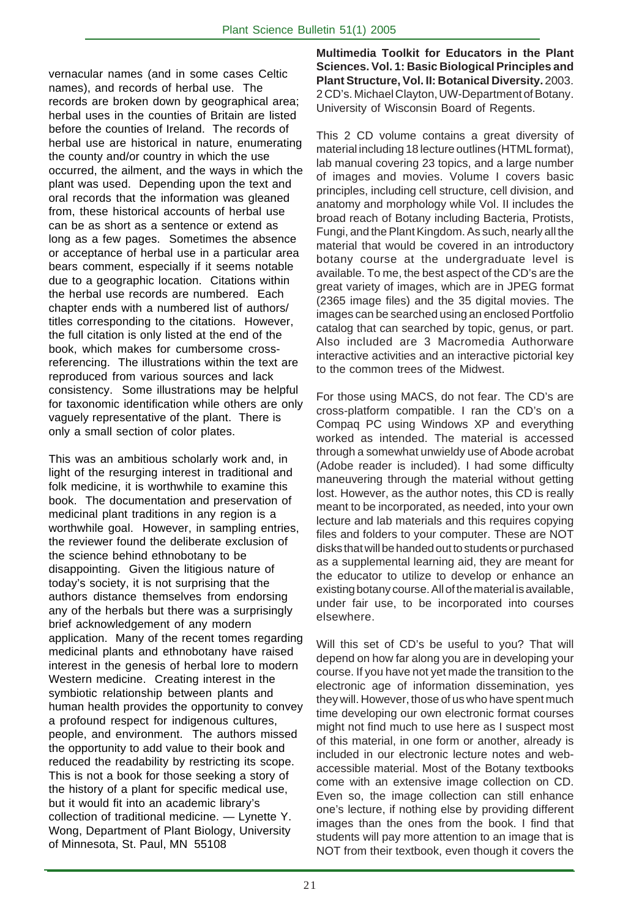vernacular names (and in some cases Celtic names), and records of herbal use. The records are broken down by geographical area; herbal uses in the counties of Britain are listed before the counties of Ireland. The records of herbal use are historical in nature, enumerating the county and/or country in which the use occurred, the ailment, and the ways in which the plant was used. Depending upon the text and oral records that the information was gleaned from, these historical accounts of herbal use can be as short as a sentence or extend as long as a few pages. Sometimes the absence or acceptance of herbal use in a particular area bears comment, especially if it seems notable due to a geographic location. Citations within the herbal use records are numbered. Each chapter ends with a numbered list of authors/ titles corresponding to the citations. However, the full citation is only listed at the end of the book, which makes for cumbersome crossreferencing. The illustrations within the text are reproduced from various sources and lack consistency. Some illustrations may be helpful for taxonomic identification while others are only vaguely representative of the plant. There is only a small section of color plates.

This was an ambitious scholarly work and, in light of the resurging interest in traditional and folk medicine, it is worthwhile to examine this book. The documentation and preservation of medicinal plant traditions in any region is a worthwhile goal. However, in sampling entries, the reviewer found the deliberate exclusion of the science behind ethnobotany to be disappointing. Given the litigious nature of today's society, it is not surprising that the authors distance themselves from endorsing any of the herbals but there was a surprisingly brief acknowledgement of any modern application. Many of the recent tomes regarding medicinal plants and ethnobotany have raised interest in the genesis of herbal lore to modern Western medicine. Creating interest in the symbiotic relationship between plants and human health provides the opportunity to convey a profound respect for indigenous cultures, people, and environment. The authors missed the opportunity to add value to their book and reduced the readability by restricting its scope. This is not a book for those seeking a story of the history of a plant for specific medical use, but it would fit into an academic library's collection of traditional medicine. — Lynette Y. Wong, Department of Plant Biology, University of Minnesota, St. Paul, MN 55108

**Multimedia Toolkit for Educators in the Plant Sciences. Vol. 1: Basic Biological Principles and Plant Structure, Vol. II: Botanical Diversity.** 2003. 2 CD's. Michael Clayton, UW-Department of Botany. University of Wisconsin Board of Regents.

This 2 CD volume contains a great diversity of material including 18 lecture outlines (HTML format), lab manual covering 23 topics, and a large number of images and movies. Volume I covers basic principles, including cell structure, cell division, and anatomy and morphology while Vol. II includes the broad reach of Botany including Bacteria, Protists, Fungi, and the Plant Kingdom. As such, nearly all the material that would be covered in an introductory botany course at the undergraduate level is available. To me, the best aspect of the CD's are the great variety of images, which are in JPEG format (2365 image files) and the 35 digital movies. The images can be searched using an enclosed Portfolio catalog that can searched by topic, genus, or part. Also included are 3 Macromedia Authorware interactive activities and an interactive pictorial key to the common trees of the Midwest.

For those using MACS, do not fear. The CD's are cross-platform compatible. I ran the CD's on a Compaq PC using Windows XP and everything worked as intended. The material is accessed through a somewhat unwieldy use of Abode acrobat (Adobe reader is included). I had some difficulty maneuvering through the material without getting lost. However, as the author notes, this CD is really meant to be incorporated, as needed, into your own lecture and lab materials and this requires copying files and folders to your computer. These are NOT disks that will be handed out to students or purchased as a supplemental learning aid, they are meant for the educator to utilize to develop or enhance an existing botany course. All of the material is available, under fair use, to be incorporated into courses elsewhere.

Will this set of CD's be useful to you? That will depend on how far along you are in developing your course. If you have not yet made the transition to the electronic age of information dissemination, yes they will. However, those of us who have spent much time developing our own electronic format courses might not find much to use here as I suspect most of this material, in one form or another, already is included in our electronic lecture notes and webaccessible material. Most of the Botany textbooks come with an extensive image collection on CD. Even so, the image collection can still enhance one's lecture, if nothing else by providing different images than the ones from the book. I find that students will pay more attention to an image that is NOT from their textbook, even though it covers the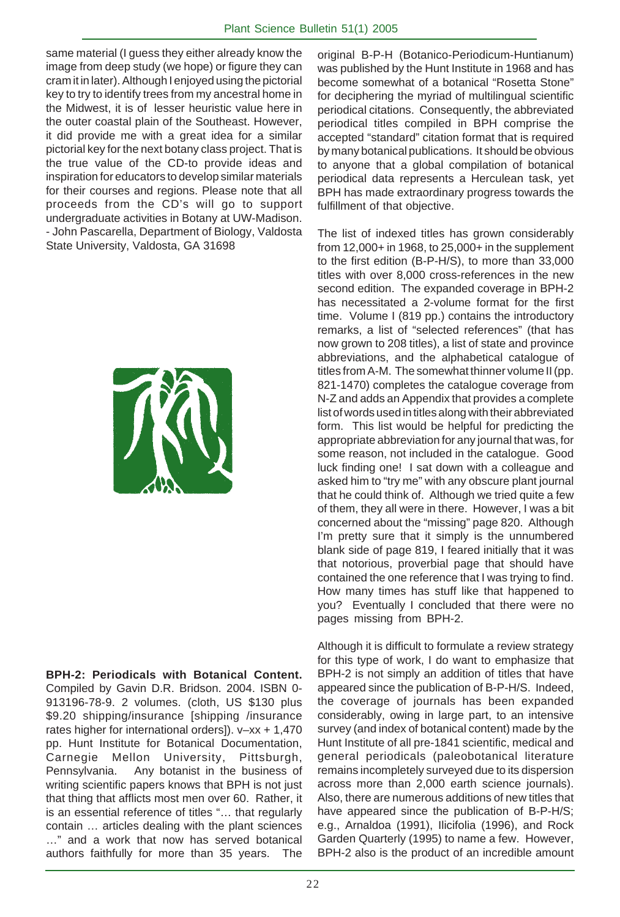same material (I guess they either already know the image from deep study (we hope) or figure they can cram it in later). Although I enjoyed using the pictorial key to try to identify trees from my ancestral home in the Midwest, it is of lesser heuristic value here in the outer coastal plain of the Southeast. However, it did provide me with a great idea for a similar pictorial key for the next botany class project. That is the true value of the CD-to provide ideas and inspiration for educators to develop similar materials for their courses and regions. Please note that all proceeds from the CD's will go to support undergraduate activities in Botany at UW-Madison. - John Pascarella, Department of Biology, Valdosta State University, Valdosta, GA 31698



**BPH-2: Periodicals with Botanical Content.** Compiled by Gavin D.R. Bridson. 2004. ISBN 0- 913196-78-9. 2 volumes. (cloth, US \$130 plus \$9.20 shipping/insurance [shipping /insurance rates higher for international orders]). v–xx + 1,470 pp. Hunt Institute for Botanical Documentation, Carnegie Mellon University, Pittsburgh, Pennsylvania. Any botanist in the business of writing scientific papers knows that BPH is not just that thing that afflicts most men over 60. Rather, it is an essential reference of titles "… that regularly contain … articles dealing with the plant sciences …" and a work that now has served botanical authors faithfully for more than 35 years. The

original B-P-H (Botanico-Periodicum-Huntianum) was published by the Hunt Institute in 1968 and has become somewhat of a botanical "Rosetta Stone" for deciphering the myriad of multilingual scientific periodical citations. Consequently, the abbreviated periodical titles compiled in BPH comprise the accepted "standard" citation format that is required by many botanical publications. It should be obvious to anyone that a global compilation of botanical periodical data represents a Herculean task, yet BPH has made extraordinary progress towards the fulfillment of that objective.

The list of indexed titles has grown considerably from 12,000+ in 1968, to 25,000+ in the supplement to the first edition (B-P-H/S), to more than 33,000 titles with over 8,000 cross-references in the new second edition. The expanded coverage in BPH-2 has necessitated a 2-volume format for the first time. Volume I (819 pp.) contains the introductory remarks, a list of "selected references" (that has now grown to 208 titles), a list of state and province abbreviations, and the alphabetical catalogue of titles from A-M. The somewhat thinner volume II (pp. 821-1470) completes the catalogue coverage from N-Z and adds an Appendix that provides a complete list of words used in titles along with their abbreviated form. This list would be helpful for predicting the appropriate abbreviation for any journal that was, for some reason, not included in the catalogue. Good luck finding one! I sat down with a colleague and asked him to "try me" with any obscure plant journal that he could think of. Although we tried quite a few of them, they all were in there. However, I was a bit concerned about the "missing" page 820. Although I'm pretty sure that it simply is the unnumbered blank side of page 819, I feared initially that it was that notorious, proverbial page that should have contained the one reference that I was trying to find. How many times has stuff like that happened to you? Eventually I concluded that there were no pages missing from BPH-2.

Although it is difficult to formulate a review strategy for this type of work, I do want to emphasize that BPH-2 is not simply an addition of titles that have appeared since the publication of B-P-H/S. Indeed, the coverage of journals has been expanded considerably, owing in large part, to an intensive survey (and index of botanical content) made by the Hunt Institute of all pre-1841 scientific, medical and general periodicals (paleobotanical literature remains incompletely surveyed due to its dispersion across more than 2,000 earth science journals). Also, there are numerous additions of new titles that have appeared since the publication of B-P-H/S; e.g., Arnaldoa (1991), Ilicifolia (1996), and Rock Garden Quarterly (1995) to name a few. However, BPH-2 also is the product of an incredible amount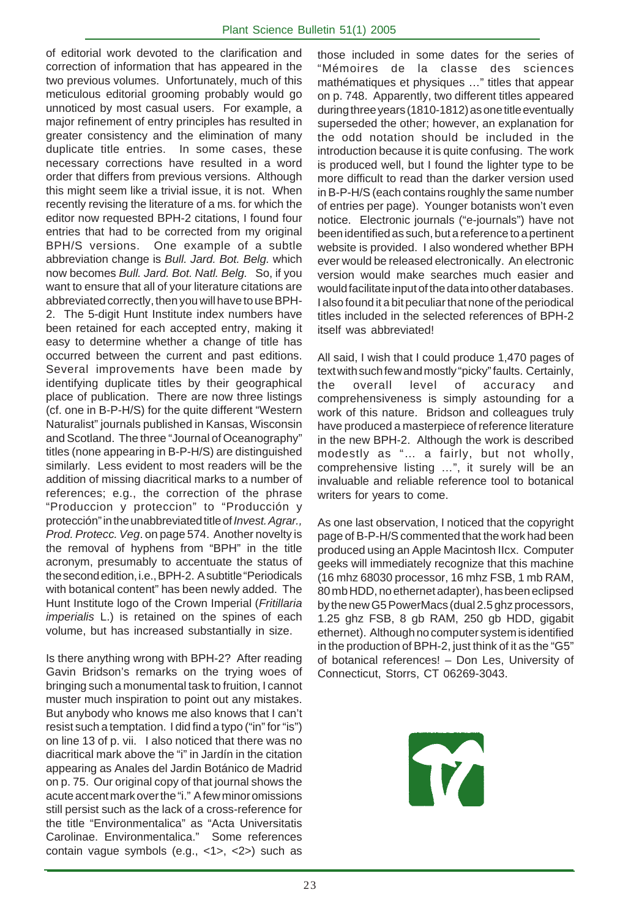of editorial work devoted to the clarification and correction of information that has appeared in the two previous volumes. Unfortunately, much of this meticulous editorial grooming probably would go unnoticed by most casual users. For example, a major refinement of entry principles has resulted in greater consistency and the elimination of many duplicate title entries. In some cases, these necessary corrections have resulted in a word order that differs from previous versions. Although this might seem like a trivial issue, it is not. When recently revising the literature of a ms. for which the editor now requested BPH-2 citations, I found four entries that had to be corrected from my original BPH/S versions. One example of a subtle abbreviation change is Bull. Jard. Bot. Belg. which now becomes Bull. Jard. Bot. Natl. Belg. So, if you want to ensure that all of your literature citations are abbreviated correctly, then you will have to use BPH-2. The 5-digit Hunt Institute index numbers have been retained for each accepted entry, making it easy to determine whether a change of title has occurred between the current and past editions. Several improvements have been made by identifying duplicate titles by their geographical place of publication. There are now three listings (cf. one in B-P-H/S) for the quite different "Western Naturalist" journals published in Kansas, Wisconsin and Scotland. The three "Journal of Oceanography" titles (none appearing in B-P-H/S) are distinguished similarly. Less evident to most readers will be the addition of missing diacritical marks to a number of references; e.g., the correction of the phrase "Produccion y proteccion" to "Producción y protección" in the unabbreviated title of Invest. Agrar., Prod. Protecc. Veg. on page 574. Another novelty is the removal of hyphens from "BPH" in the title acronym, presumably to accentuate the status of the second edition, i.e., BPH-2. A subtitle "Periodicals with botanical content" has been newly added. The Hunt Institute logo of the Crown Imperial (Fritillaria imperialis L.) is retained on the spines of each volume, but has increased substantially in size.

Is there anything wrong with BPH-2? After reading Gavin Bridson's remarks on the trying woes of bringing such a monumental task to fruition, I cannot muster much inspiration to point out any mistakes. But anybody who knows me also knows that I can't resist such a temptation. I did find a typo ("in" for "is") on line 13 of p. vii. I also noticed that there was no diacritical mark above the "i" in Jardín in the citation appearing as Anales del Jardin Botánico de Madrid on p. 75. Our original copy of that journal shows the acute accent mark over the "i." A few minor omissions still persist such as the lack of a cross-reference for the title "Environmentalica" as "Acta Universitatis Carolinae. Environmentalica." Some references contain vague symbols (e.g., <1>, <2>) such as

those included in some dates for the series of "Mémoires de la classe des sciences mathématiques et physiques …" titles that appear on p. 748. Apparently, two different titles appeared during three years (1810-1812) as one title eventually superseded the other; however, an explanation for the odd notation should be included in the introduction because it is quite confusing. The work is produced well, but I found the lighter type to be more difficult to read than the darker version used in B-P-H/S (each contains roughly the same number of entries per page). Younger botanists won't even notice. Electronic journals ("e-journals") have not been identified as such, but a reference to a pertinent website is provided. I also wondered whether BPH ever would be released electronically. An electronic version would make searches much easier and would facilitate input of the data into other databases. I also found it a bit peculiar that none of the periodical titles included in the selected references of BPH-2 itself was abbreviated!

All said, I wish that I could produce 1,470 pages of text with such few and mostly "picky" faults. Certainly, the overall level of accuracy and comprehensiveness is simply astounding for a work of this nature. Bridson and colleagues truly have produced a masterpiece of reference literature in the new BPH-2. Although the work is described modestly as "… a fairly, but not wholly, comprehensive listing …", it surely will be an invaluable and reliable reference tool to botanical writers for years to come.

As one last observation, I noticed that the copyright page of B-P-H/S commented that the work had been produced using an Apple Macintosh IIcx. Computer geeks will immediately recognize that this machine (16 mhz 68030 processor, 16 mhz FSB, 1 mb RAM, 80 mb HDD, no ethernet adapter), has been eclipsed by the new G5 PowerMacs (dual 2.5 ghz processors, 1.25 ghz FSB, 8 gb RAM, 250 gb HDD, gigabit ethernet). Although no computer system is identified in the production of BPH-2, just think of it as the "G5" of botanical references! – Don Les, University of Connecticut, Storrs, CT 06269-3043.

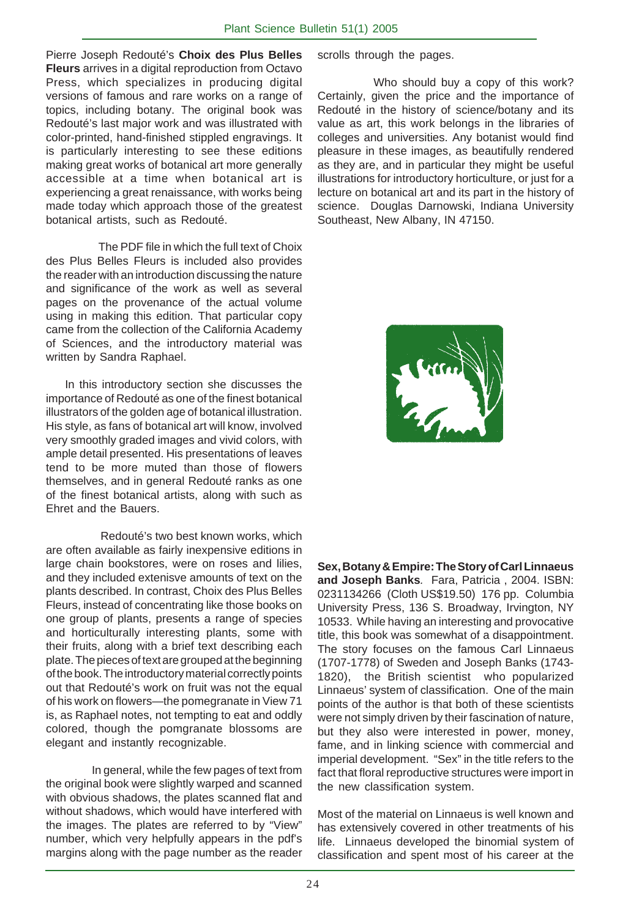Pierre Joseph Redouté's **Choix des Plus Belles Fleurs** arrives in a digital reproduction from Octavo Press, which specializes in producing digital versions of famous and rare works on a range of topics, including botany. The original book was Redouté's last major work and was illustrated with color-printed, hand-finished stippled engravings. It is particularly interesting to see these editions making great works of botanical art more generally accessible at a time when botanical art is experiencing a great renaissance, with works being made today which approach those of the greatest botanical artists, such as Redouté.

 The PDF file in which the full text of Choix des Plus Belles Fleurs is included also provides the reader with an introduction discussing the nature and significance of the work as well as several pages on the provenance of the actual volume using in making this edition. That particular copy came from the collection of the California Academy of Sciences, and the introductory material was written by Sandra Raphael.

 In this introductory section she discusses the importance of Redouté as one of the finest botanical illustrators of the golden age of botanical illustration. His style, as fans of botanical art will know, involved very smoothly graded images and vivid colors, with ample detail presented. His presentations of leaves tend to be more muted than those of flowers themselves, and in general Redouté ranks as one of the finest botanical artists, along with such as Ehret and the Bauers.

 Redouté's two best known works, which are often available as fairly inexpensive editions in large chain bookstores, were on roses and lilies, and they included extenisve amounts of text on the plants described. In contrast, Choix des Plus Belles Fleurs, instead of concentrating like those books on one group of plants, presents a range of species and horticulturally interesting plants, some with their fruits, along with a brief text describing each plate. The pieces of text are grouped at the beginning of the book. The introductory material correctly points out that Redouté's work on fruit was not the equal of his work on flowers—the pomegranate in View 71 is, as Raphael notes, not tempting to eat and oddly colored, though the pomgranate blossoms are elegant and instantly recognizable.

In general, while the few pages of text from the original book were slightly warped and scanned with obvious shadows, the plates scanned flat and without shadows, which would have interfered with the images. The plates are referred to by "View" number, which very helpfully appears in the pdf's margins along with the page number as the reader scrolls through the pages.

 Who should buy a copy of this work? Certainly, given the price and the importance of Redouté in the history of science/botany and its value as art, this work belongs in the libraries of colleges and universities. Any botanist would find pleasure in these images, as beautifully rendered as they are, and in particular they might be useful illustrations for introductory horticulture, or just for a lecture on botanical art and its part in the history of science. Douglas Darnowski, Indiana University Southeast, New Albany, IN 47150.



**Sex, Botany & Empire: The Story of Carl Linnaeus and Joseph Banks**. Fara, Patricia , 2004. ISBN: 0231134266 (Cloth US\$19.50) 176 pp. Columbia University Press, 136 S. Broadway, Irvington, NY 10533. While having an interesting and provocative title, this book was somewhat of a disappointment. The story focuses on the famous Carl Linnaeus (1707-1778) of Sweden and Joseph Banks (1743- 1820), the British scientist who popularized Linnaeus' system of classification. One of the main points of the author is that both of these scientists were not simply driven by their fascination of nature, but they also were interested in power, money, fame, and in linking science with commercial and imperial development. "Sex" in the title refers to the fact that floral reproductive structures were import in the new classification system.

Most of the material on Linnaeus is well known and has extensively covered in other treatments of his life. Linnaeus developed the binomial system of classification and spent most of his career at the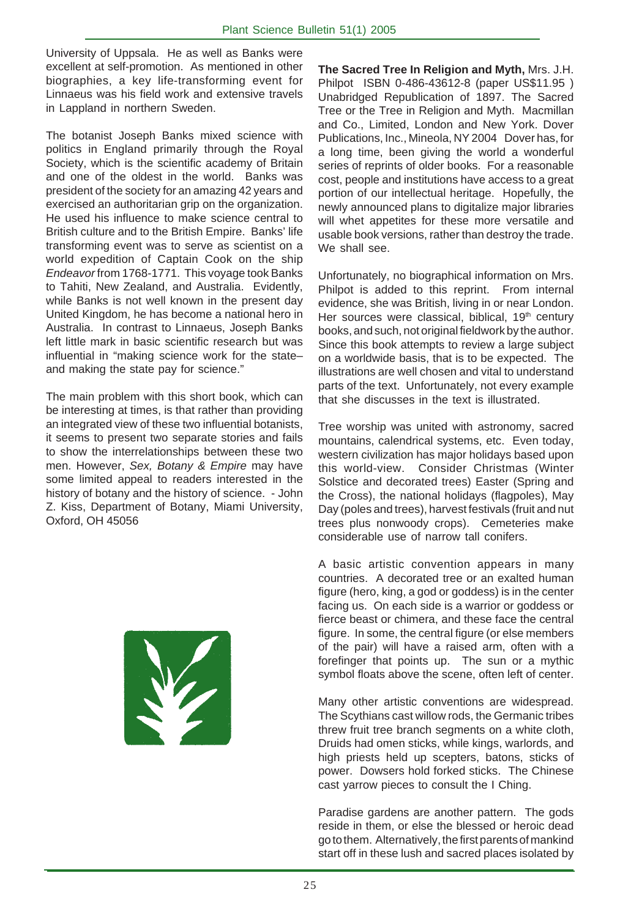University of Uppsala. He as well as Banks were excellent at self-promotion. As mentioned in other biographies, a key life-transforming event for Linnaeus was his field work and extensive travels in Lappland in northern Sweden.

The botanist Joseph Banks mixed science with politics in England primarily through the Royal Society, which is the scientific academy of Britain and one of the oldest in the world. Banks was president of the society for an amazing 42 years and exercised an authoritarian grip on the organization. He used his influence to make science central to British culture and to the British Empire. Banks' life transforming event was to serve as scientist on a world expedition of Captain Cook on the ship Endeavor from 1768-1771. This voyage took Banks to Tahiti, New Zealand, and Australia. Evidently, while Banks is not well known in the present day United Kingdom, he has become a national hero in Australia. In contrast to Linnaeus, Joseph Banks left little mark in basic scientific research but was influential in "making science work for the state– and making the state pay for science."

The main problem with this short book, which can be interesting at times, is that rather than providing an integrated view of these two influential botanists, it seems to present two separate stories and fails to show the interrelationships between these two men. However, Sex, Botany & Empire may have some limited appeal to readers interested in the history of botany and the history of science. - John Z. Kiss, Department of Botany, Miami University, Oxford, OH 45056



**The Sacred Tree In Religion and Myth,** Mrs. J.H. Philpot ISBN 0-486-43612-8 (paper US\$11.95 ) Unabridged Republication of 1897. The Sacred Tree or the Tree in Religion and Myth. Macmillan and Co., Limited, London and New York. Dover Publications, Inc., Mineola, NY 2004 Dover has, for a long time, been giving the world a wonderful series of reprints of older books. For a reasonable cost, people and institutions have access to a great portion of our intellectual heritage. Hopefully, the newly announced plans to digitalize major libraries will whet appetites for these more versatile and usable book versions, rather than destroy the trade. We shall see.

Unfortunately, no biographical information on Mrs. Philpot is added to this reprint. From internal evidence, she was British, living in or near London. Her sources were classical, biblical, 19<sup>th</sup> century books, and such, not original fieldwork by the author. Since this book attempts to review a large subject on a worldwide basis, that is to be expected. The illustrations are well chosen and vital to understand parts of the text. Unfortunately, not every example that she discusses in the text is illustrated.

Tree worship was united with astronomy, sacred mountains, calendrical systems, etc. Even today, western civilization has major holidays based upon this world-view. Consider Christmas (Winter Solstice and decorated trees) Easter (Spring and the Cross), the national holidays (flagpoles), May Day (poles and trees), harvest festivals (fruit and nut trees plus nonwoody crops). Cemeteries make considerable use of narrow tall conifers.

A basic artistic convention appears in many countries. A decorated tree or an exalted human figure (hero, king, a god or goddess) is in the center facing us. On each side is a warrior or goddess or fierce beast or chimera, and these face the central figure. In some, the central figure (or else members of the pair) will have a raised arm, often with a forefinger that points up. The sun or a mythic symbol floats above the scene, often left of center.

Many other artistic conventions are widespread. The Scythians cast willow rods, the Germanic tribes threw fruit tree branch segments on a white cloth, Druids had omen sticks, while kings, warlords, and high priests held up scepters, batons, sticks of power. Dowsers hold forked sticks. The Chinese cast yarrow pieces to consult the I Ching.

Paradise gardens are another pattern. The gods reside in them, or else the blessed or heroic dead go to them. Alternatively, the first parents of mankind start off in these lush and sacred places isolated by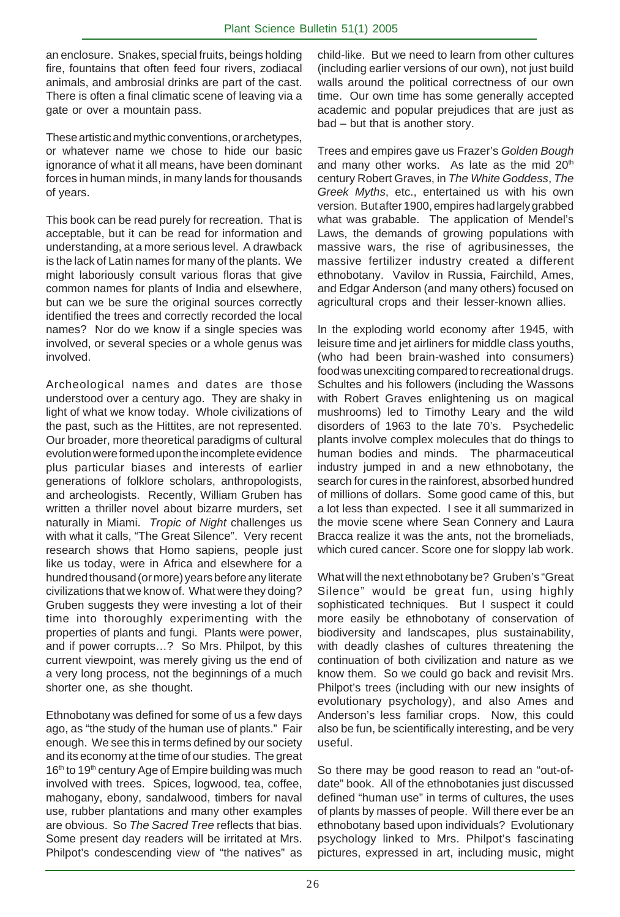an enclosure. Snakes, special fruits, beings holding fire, fountains that often feed four rivers, zodiacal animals, and ambrosial drinks are part of the cast. There is often a final climatic scene of leaving via a gate or over a mountain pass.

These artistic and mythic conventions, or archetypes, or whatever name we chose to hide our basic ignorance of what it all means, have been dominant forces in human minds, in many lands for thousands of years.

This book can be read purely for recreation. That is acceptable, but it can be read for information and understanding, at a more serious level. A drawback is the lack of Latin names for many of the plants. We might laboriously consult various floras that give common names for plants of India and elsewhere, but can we be sure the original sources correctly identified the trees and correctly recorded the local names? Nor do we know if a single species was involved, or several species or a whole genus was involved.

Archeological names and dates are those understood over a century ago. They are shaky in light of what we know today. Whole civilizations of the past, such as the Hittites, are not represented. Our broader, more theoretical paradigms of cultural evolution were formed upon the incomplete evidence plus particular biases and interests of earlier generations of folklore scholars, anthropologists, and archeologists. Recently, William Gruben has written a thriller novel about bizarre murders, set naturally in Miami. Tropic of Night challenges us with what it calls, "The Great Silence". Very recent research shows that Homo sapiens, people just like us today, were in Africa and elsewhere for a hundred thousand (or more) years before any literate civilizations that we know of. What were they doing? Gruben suggests they were investing a lot of their time into thoroughly experimenting with the properties of plants and fungi. Plants were power, and if power corrupts…? So Mrs. Philpot, by this current viewpoint, was merely giving us the end of a very long process, not the beginnings of a much shorter one, as she thought.

Ethnobotany was defined for some of us a few days ago, as "the study of the human use of plants." Fair enough. We see this in terms defined by our society and its economy at the time of our studies. The great 16<sup>th</sup> to 19<sup>th</sup> century Age of Empire building was much involved with trees. Spices, logwood, tea, coffee, mahogany, ebony, sandalwood, timbers for naval use, rubber plantations and many other examples are obvious. So The Sacred Tree reflects that bias. Some present day readers will be irritated at Mrs. Philpot's condescending view of "the natives" as

child-like. But we need to learn from other cultures (including earlier versions of our own), not just build walls around the political correctness of our own time. Our own time has some generally accepted academic and popular prejudices that are just as bad – but that is another story.

Trees and empires gave us Frazer's Golden Bough and many other works. As late as the mid  $20<sup>th</sup>$ century Robert Graves, in The White Goddess, The Greek Myths, etc., entertained us with his own version. But after 1900, empires had largely grabbed what was grabable. The application of Mendel's Laws, the demands of growing populations with massive wars, the rise of agribusinesses, the massive fertilizer industry created a different ethnobotany. Vavilov in Russia, Fairchild, Ames, and Edgar Anderson (and many others) focused on agricultural crops and their lesser-known allies.

In the exploding world economy after 1945, with leisure time and jet airliners for middle class youths, (who had been brain-washed into consumers) food was unexciting compared to recreational drugs. Schultes and his followers (including the Wassons with Robert Graves enlightening us on magical mushrooms) led to Timothy Leary and the wild disorders of 1963 to the late 70's. Psychedelic plants involve complex molecules that do things to human bodies and minds. The pharmaceutical industry jumped in and a new ethnobotany, the search for cures in the rainforest, absorbed hundred of millions of dollars. Some good came of this, but a lot less than expected. I see it all summarized in the movie scene where Sean Connery and Laura Bracca realize it was the ants, not the bromeliads, which cured cancer. Score one for sloppy lab work.

What will the next ethnobotany be? Gruben's "Great Silence" would be great fun, using highly sophisticated techniques. But I suspect it could more easily be ethnobotany of conservation of biodiversity and landscapes, plus sustainability, with deadly clashes of cultures threatening the continuation of both civilization and nature as we know them. So we could go back and revisit Mrs. Philpot's trees (including with our new insights of evolutionary psychology), and also Ames and Anderson's less familiar crops. Now, this could also be fun, be scientifically interesting, and be very useful.

So there may be good reason to read an "out-ofdate" book. All of the ethnobotanies just discussed defined "human use" in terms of cultures, the uses of plants by masses of people. Will there ever be an ethnobotany based upon individuals? Evolutionary psychology linked to Mrs. Philpot's fascinating pictures, expressed in art, including music, might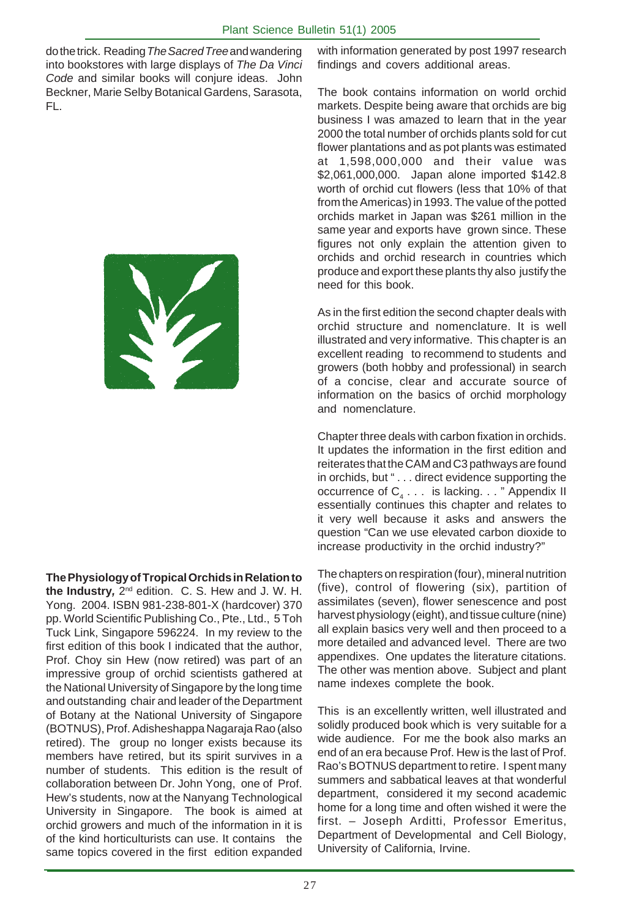do the trick. Reading The Sacred Tree and wandering into bookstores with large displays of The Da Vinci Code and similar books will conjure ideas. John Beckner, Marie Selby Botanical Gardens, Sarasota, FL.



**The Physiology of Tropical Orchids in Relation to the Industry,** 2nd edition. C. S. Hew and J. W. H. Yong. 2004. ISBN 981-238-801-X (hardcover) 370 pp. World Scientific Publishing Co., Pte., Ltd., 5 Toh Tuck Link, Singapore 596224. In my review to the first edition of this book I indicated that the author, Prof. Choy sin Hew (now retired) was part of an impressive group of orchid scientists gathered at the National University of Singapore by the long time and outstanding chair and leader of the Department of Botany at the National University of Singapore (BOTNUS), Prof. Adisheshappa Nagaraja Rao (also retired). The group no longer exists because its members have retired, but its spirit survives in a number of students. This edition is the result of collaboration between Dr. John Yong, one of Prof. Hew's students, now at the Nanyang Technological University in Singapore. The book is aimed at orchid growers and much of the information in it is of the kind horticulturists can use. It contains the same topics covered in the first edition expanded with information generated by post 1997 research findings and covers additional areas.

The book contains information on world orchid markets. Despite being aware that orchids are big business I was amazed to learn that in the year 2000 the total number of orchids plants sold for cut flower plantations and as pot plants was estimated at 1,598,000,000 and their value was \$2,061,000,000. Japan alone imported \$142.8 worth of orchid cut flowers (less that 10% of that from the Americas) in 1993. The value of the potted orchids market in Japan was \$261 million in the same year and exports have grown since. These figures not only explain the attention given to orchids and orchid research in countries which produce and export these plants thy also justify the need for this book.

As in the first edition the second chapter deals with orchid structure and nomenclature. It is well illustrated and very informative. This chapter is an excellent reading to recommend to students and growers (both hobby and professional) in search of a concise, clear and accurate source of information on the basics of orchid morphology and nomenclature.

Chapter three deals with carbon fixation in orchids. It updates the information in the first edition and reiterates that the CAM and C3 pathways are found in orchids, but " . . . direct evidence supporting the occurrence of  $\mathsf{C}_4$  . . . is lacking. . . " Appendix II essentially continues this chapter and relates to it very well because it asks and answers the question "Can we use elevated carbon dioxide to increase productivity in the orchid industry?"

The chapters on respiration (four), mineral nutrition (five), control of flowering (six), partition of assimilates (seven), flower senescence and post harvest physiology (eight), and tissue culture (nine) all explain basics very well and then proceed to a more detailed and advanced level. There are two appendixes. One updates the literature citations. The other was mention above. Subject and plant name indexes complete the book.

This is an excellently written, well illustrated and solidly produced book which is very suitable for a wide audience. For me the book also marks an end of an era because Prof. Hew is the last of Prof. Rao's BOTNUS department to retire. I spent many summers and sabbatical leaves at that wonderful department, considered it my second academic home for a long time and often wished it were the first. – Joseph Arditti, Professor Emeritus, Department of Developmental and Cell Biology, University of California, Irvine.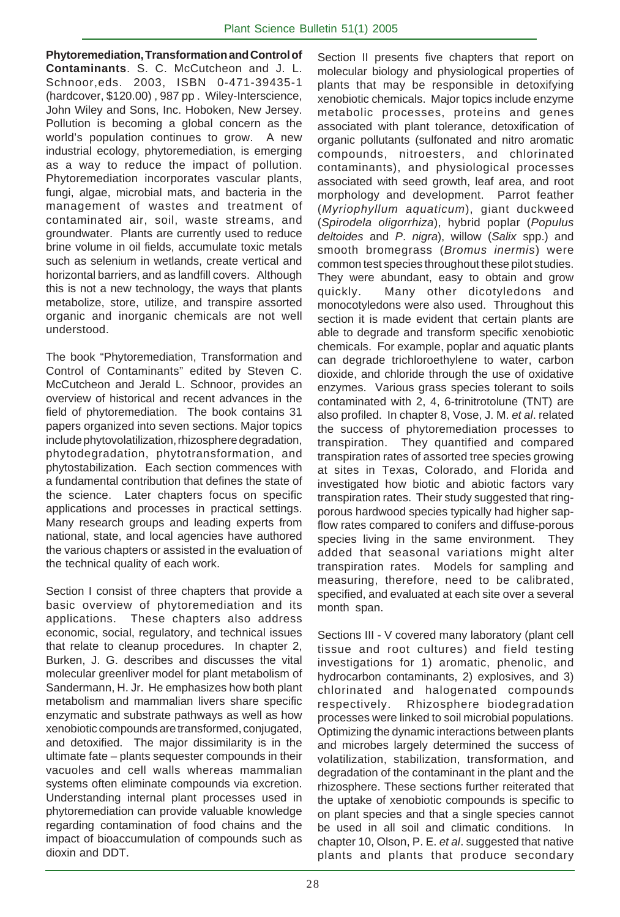**Phytoremediation, Transformation and Control of Contaminants**. S. C. McCutcheon and J. L. Schnoor,eds. 2003, ISBN 0-471-39435-1 (hardcover, \$120.00) , 987 pp . Wiley-Interscience, John Wiley and Sons, Inc. Hoboken, New Jersey. Pollution is becoming a global concern as the world's population continues to grow. A new industrial ecology, phytoremediation, is emerging as a way to reduce the impact of pollution. Phytoremediation incorporates vascular plants, fungi, algae, microbial mats, and bacteria in the management of wastes and treatment of contaminated air, soil, waste streams, and groundwater. Plants are currently used to reduce brine volume in oil fields, accumulate toxic metals such as selenium in wetlands, create vertical and horizontal barriers, and as landfill covers. Although this is not a new technology, the ways that plants metabolize, store, utilize, and transpire assorted organic and inorganic chemicals are not well understood.

The book "Phytoremediation, Transformation and Control of Contaminants" edited by Steven C. McCutcheon and Jerald L. Schnoor, provides an overview of historical and recent advances in the field of phytoremediation. The book contains 31 papers organized into seven sections. Major topics include phytovolatilization, rhizosphere degradation, phytodegradation, phytotransformation, and phytostabilization. Each section commences with a fundamental contribution that defines the state of the science. Later chapters focus on specific applications and processes in practical settings. Many research groups and leading experts from national, state, and local agencies have authored the various chapters or assisted in the evaluation of the technical quality of each work.

Section I consist of three chapters that provide a basic overview of phytoremediation and its applications. These chapters also address economic, social, regulatory, and technical issues that relate to cleanup procedures. In chapter 2, Burken, J. G. describes and discusses the vital molecular greenliver model for plant metabolism of Sandermann, H. Jr. He emphasizes how both plant metabolism and mammalian livers share specific enzymatic and substrate pathways as well as how xenobiotic compounds are transformed, conjugated, and detoxified. The major dissimilarity is in the ultimate fate – plants sequester compounds in their vacuoles and cell walls whereas mammalian systems often eliminate compounds via excretion. Understanding internal plant processes used in phytoremediation can provide valuable knowledge regarding contamination of food chains and the impact of bioaccumulation of compounds such as dioxin and DDT.

Section II presents five chapters that report on molecular biology and physiological properties of plants that may be responsible in detoxifying xenobiotic chemicals. Major topics include enzyme metabolic processes, proteins and genes associated with plant tolerance, detoxification of organic pollutants (sulfonated and nitro aromatic compounds, nitroesters, and chlorinated contaminants), and physiological processes associated with seed growth, leaf area, and root morphology and development. Parrot feather (Myriophyllum aquaticum), giant duckweed (Spirodela oligorrhiza), hybrid poplar (Populus deltoides and P. nigra), willow (Salix spp.) and smooth bromegrass (Bromus inermis) were common test species throughout these pilot studies. They were abundant, easy to obtain and grow quickly. Many other dicotyledons and monocotyledons were also used. Throughout this section it is made evident that certain plants are able to degrade and transform specific xenobiotic chemicals. For example, poplar and aquatic plants can degrade trichloroethylene to water, carbon dioxide, and chloride through the use of oxidative enzymes. Various grass species tolerant to soils contaminated with 2, 4, 6-trinitrotolune (TNT) are also profiled. In chapter 8, Vose, J. M. et al. related the success of phytoremediation processes to transpiration. They quantified and compared transpiration rates of assorted tree species growing at sites in Texas, Colorado, and Florida and investigated how biotic and abiotic factors vary transpiration rates. Their study suggested that ringporous hardwood species typically had higher sapflow rates compared to conifers and diffuse-porous species living in the same environment. They added that seasonal variations might alter transpiration rates. Models for sampling and measuring, therefore, need to be calibrated, specified, and evaluated at each site over a several month span.

Sections III - V covered many laboratory (plant cell tissue and root cultures) and field testing investigations for 1) aromatic, phenolic, and hydrocarbon contaminants, 2) explosives, and 3) chlorinated and halogenated compounds respectively. Rhizosphere biodegradation processes were linked to soil microbial populations. Optimizing the dynamic interactions between plants and microbes largely determined the success of volatilization, stabilization, transformation, and degradation of the contaminant in the plant and the rhizosphere. These sections further reiterated that the uptake of xenobiotic compounds is specific to on plant species and that a single species cannot be used in all soil and climatic conditions. In chapter 10, Olson, P. E. et al. suggested that native plants and plants that produce secondary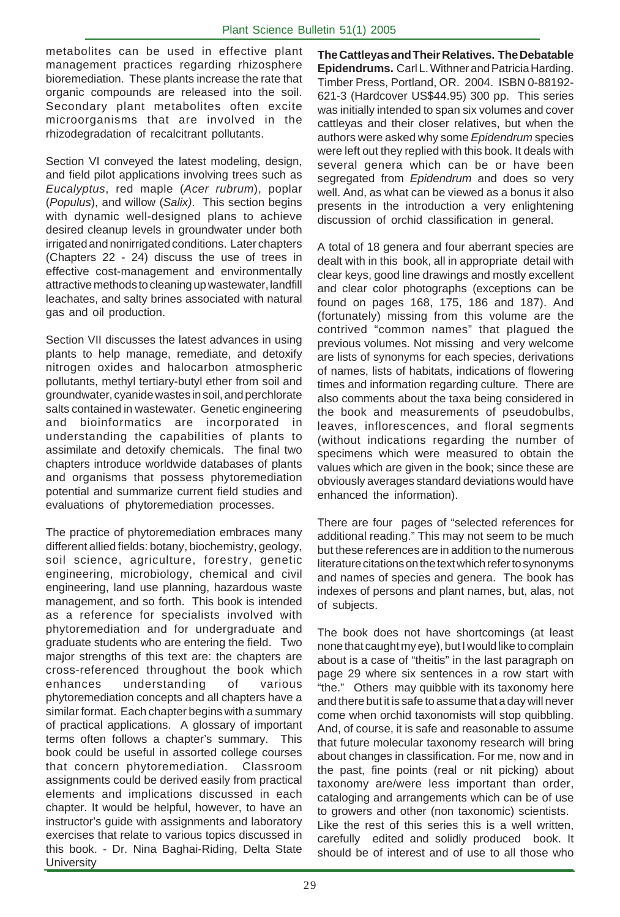metabolites can be used in effective plant management practices regarding rhizosphere bioremediation. These plants increase the rate that organic compounds are released into the soil. Secondary plant metabolites often excite microorganisms that are involved in the rhizodegradation of recalcitrant pollutants.

Section VI conveyed the latest modeling, design, and field pilot applications involving trees such as Eucalyptus, red maple (Acer rubrum), poplar (Populus), and willow (Salix). This section begins with dynamic well-designed plans to achieve desired cleanup levels in groundwater under both irrigated and nonirrigated conditions. Later chapters (Chapters 22 - 24) discuss the use of trees in effective cost-management and environmentally attractive methods to cleaning up wastewater, landfill leachates, and salty brines associated with natural gas and oil production.

Section VII discusses the latest advances in using plants to help manage, remediate, and detoxify nitrogen oxides and halocarbon atmospheric pollutants, methyl tertiary-butyl ether from soil and groundwater, cyanide wastes in soil, and perchlorate salts contained in wastewater. Genetic engineering and bioinformatics are incorporated in understanding the capabilities of plants to assimilate and detoxify chemicals. The final two chapters introduce worldwide databases of plants and organisms that possess phytoremediation potential and summarize current field studies and evaluations of phytoremediation processes.

The practice of phytoremediation embraces many different allied fields: botany, biochemistry, geology, soil science, agriculture, forestry, genetic engineering, microbiology, chemical and civil engineering, land use planning, hazardous waste management, and so forth. This book is intended as a reference for specialists involved with phytoremediation and for undergraduate and graduate students who are entering the field. Two major strengths of this text are: the chapters are cross-referenced throughout the book which enhances understanding of various phytoremediation concepts and all chapters have a similar format. Each chapter begins with a summary of practical applications. A glossary of important terms often follows a chapter's summary. This book could be useful in assorted college courses that concern phytoremediation. Classroom assignments could be derived easily from practical elements and implications discussed in each chapter. It would be helpful, however, to have an instructor's guide with assignments and laboratory exercises that relate to various topics discussed in this book. - Dr. Nina Baghai-Riding, Delta State **University** 

**The Cattleyas and Their Relatives. The Debatable Epidendrums.** Carl L. Withner and Patricia Harding. Timber Press, Portland, OR. 2004. ISBN 0-88192- 621-3 (Hardcover US\$44.95) 300 pp. This series was initially intended to span six volumes and cover cattleyas and their closer relatives, but when the authors were asked why some *Epidendrum* species were left out they replied with this book. It deals with several genera which can be or have been segregated from Epidendrum and does so very well. And, as what can be viewed as a bonus it also presents in the introduction a very enlightening discussion of orchid classification in general.

A total of 18 genera and four aberrant species are dealt with in this book, all in appropriate detail with clear keys, good line drawings and mostly excellent and clear color photographs (exceptions can be found on pages 168, 175, 186 and 187). And (fortunately) missing from this volume are the contrived "common names" that plagued the previous volumes. Not missing and very welcome are lists of synonyms for each species, derivations of names, lists of habitats, indications of flowering times and information regarding culture. There are also comments about the taxa being considered in the book and measurements of pseudobulbs, leaves, inflorescences, and floral segments (without indications regarding the number of specimens which were measured to obtain the values which are given in the book; since these are obviously averages standard deviations would have enhanced the information).

There are four pages of "selected references for additional reading." This may not seem to be much but these references are in addition to the numerous literature citations on the text which refer to synonyms and names of species and genera. The book has indexes of persons and plant names, but, alas, not of subjects.

The book does not have shortcomings (at least none that caught my eye), but I would like to complain about is a case of "theitis" in the last paragraph on page 29 where six sentences in a row start with "the." Others may quibble with its taxonomy here and there but it is safe to assume that a day will never come when orchid taxonomists will stop quibbling. And, of course, it is safe and reasonable to assume that future molecular taxonomy research will bring about changes in classification. For me, now and in the past, fine points (real or nit picking) about taxonomy are/were less important than order, cataloging and arrangements which can be of use to growers and other (non taxonomic) scientists. Like the rest of this series this is a well written, carefully edited and solidly produced book. It should be of interest and of use to all those who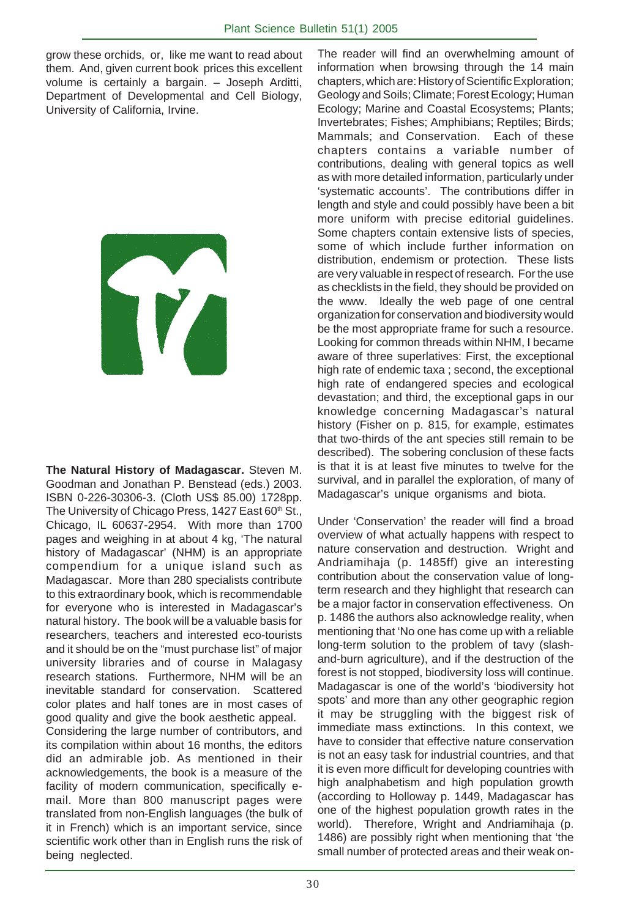grow these orchids, or, like me want to read about them. And, given current book prices this excellent volume is certainly a bargain. – Joseph Arditti, Department of Developmental and Cell Biology, University of California, Irvine.

**The Natural History of Madagascar.** Steven M. Goodman and Jonathan P. Benstead (eds.) 2003. ISBN 0-226-30306-3. (Cloth US\$ 85.00) 1728pp. The University of Chicago Press, 1427 East 60<sup>th</sup> St., Chicago, IL 60637-2954. With more than 1700 pages and weighing in at about 4 kg, 'The natural history of Madagascar' (NHM) is an appropriate compendium for a unique island such as Madagascar. More than 280 specialists contribute to this extraordinary book, which is recommendable for everyone who is interested in Madagascar's natural history. The book will be a valuable basis for researchers, teachers and interested eco-tourists and it should be on the "must purchase list" of major university libraries and of course in Malagasy research stations. Furthermore, NHM will be an inevitable standard for conservation. Scattered color plates and half tones are in most cases of good quality and give the book aesthetic appeal.

Considering the large number of contributors, and its compilation within about 16 months, the editors did an admirable job. As mentioned in their acknowledgements, the book is a measure of the facility of modern communication, specifically email. More than 800 manuscript pages were translated from non-English languages (the bulk of it in French) which is an important service, since scientific work other than in English runs the risk of being neglected.

The reader will find an overwhelming amount of information when browsing through the 14 main chapters, which are: History of Scientific Exploration; Geology and Soils; Climate; Forest Ecology; Human Ecology; Marine and Coastal Ecosystems; Plants; Invertebrates; Fishes; Amphibians; Reptiles; Birds; Mammals; and Conservation. Each of these chapters contains a variable number of contributions, dealing with general topics as well as with more detailed information, particularly under 'systematic accounts'. The contributions differ in length and style and could possibly have been a bit more uniform with precise editorial guidelines. Some chapters contain extensive lists of species, some of which include further information on distribution, endemism or protection. These lists are very valuable in respect of research. For the use as checklists in the field, they should be provided on the www. Ideally the web page of one central organization for conservation and biodiversity would be the most appropriate frame for such a resource. Looking for common threads within NHM, I became aware of three superlatives: First, the exceptional high rate of endemic taxa ; second, the exceptional high rate of endangered species and ecological devastation; and third, the exceptional gaps in our knowledge concerning Madagascar's natural history (Fisher on p. 815, for example, estimates that two-thirds of the ant species still remain to be described). The sobering conclusion of these facts is that it is at least five minutes to twelve for the survival, and in parallel the exploration, of many of Madagascar's unique organisms and biota.

Under 'Conservation' the reader will find a broad overview of what actually happens with respect to nature conservation and destruction. Wright and Andriamihaja (p. 1485ff) give an interesting contribution about the conservation value of longterm research and they highlight that research can be a major factor in conservation effectiveness. On p. 1486 the authors also acknowledge reality, when mentioning that 'No one has come up with a reliable long-term solution to the problem of tavy (slashand-burn agriculture), and if the destruction of the forest is not stopped, biodiversity loss will continue. Madagascar is one of the world's 'biodiversity hot spots' and more than any other geographic region it may be struggling with the biggest risk of immediate mass extinctions. In this context, we have to consider that effective nature conservation is not an easy task for industrial countries, and that it is even more difficult for developing countries with high analphabetism and high population growth (according to Holloway p. 1449, Madagascar has one of the highest population growth rates in the world). Therefore, Wright and Andriamihaja (p. 1486) are possibly right when mentioning that 'the small number of protected areas and their weak on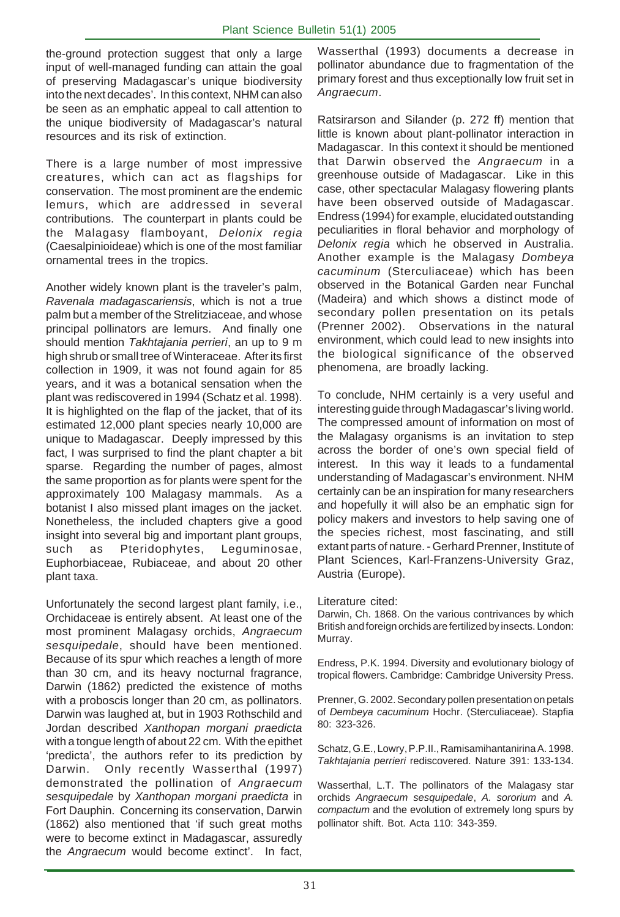the-ground protection suggest that only a large input of well-managed funding can attain the goal of preserving Madagascar's unique biodiversity into the next decades'. In this context, NHM can also be seen as an emphatic appeal to call attention to the unique biodiversity of Madagascar's natural resources and its risk of extinction.

There is a large number of most impressive creatures, which can act as flagships for conservation. The most prominent are the endemic lemurs, which are addressed in several contributions. The counterpart in plants could be the Malagasy flamboyant, Delonix regia (Caesalpinioideae) which is one of the most familiar ornamental trees in the tropics.

Another widely known plant is the traveler's palm, Ravenala madagascariensis, which is not a true palm but a member of the Strelitziaceae, and whose principal pollinators are lemurs. And finally one should mention Takhtajania perrieri, an up to 9 m high shrub or small tree of Winteraceae. After its first collection in 1909, it was not found again for 85 years, and it was a botanical sensation when the plant was rediscovered in 1994 (Schatz et al. 1998). It is highlighted on the flap of the jacket, that of its estimated 12,000 plant species nearly 10,000 are unique to Madagascar. Deeply impressed by this fact, I was surprised to find the plant chapter a bit sparse. Regarding the number of pages, almost the same proportion as for plants were spent for the approximately 100 Malagasy mammals. As a botanist I also missed plant images on the jacket. Nonetheless, the included chapters give a good insight into several big and important plant groups, such as Pteridophytes, Leguminosae, Euphorbiaceae, Rubiaceae, and about 20 other plant taxa.

Unfortunately the second largest plant family, i.e., Orchidaceae is entirely absent. At least one of the most prominent Malagasy orchids, Angraecum sesquipedale, should have been mentioned. Because of its spur which reaches a length of more than 30 cm, and its heavy nocturnal fragrance, Darwin (1862) predicted the existence of moths with a proboscis longer than 20 cm, as pollinators. Darwin was laughed at, but in 1903 Rothschild and Jordan described Xanthopan morgani praedicta with a tongue length of about 22 cm. With the epithet 'predicta', the authors refer to its prediction by Darwin. Only recently Wasserthal (1997) demonstrated the pollination of Angraecum sesquipedale by Xanthopan morgani praedicta in Fort Dauphin. Concerning its conservation, Darwin (1862) also mentioned that 'if such great moths were to become extinct in Madagascar, assuredly the Angraecum would become extinct'. In fact,

Wasserthal (1993) documents a decrease in pollinator abundance due to fragmentation of the primary forest and thus exceptionally low fruit set in Angraecum.

Ratsirarson and Silander (p. 272 ff) mention that little is known about plant-pollinator interaction in Madagascar. In this context it should be mentioned that Darwin observed the Angraecum in a greenhouse outside of Madagascar. Like in this case, other spectacular Malagasy flowering plants have been observed outside of Madagascar. Endress (1994) for example, elucidated outstanding peculiarities in floral behavior and morphology of Delonix regia which he observed in Australia. Another example is the Malagasy Dombeya cacuminum (Sterculiaceae) which has been observed in the Botanical Garden near Funchal (Madeira) and which shows a distinct mode of secondary pollen presentation on its petals (Prenner 2002). Observations in the natural environment, which could lead to new insights into the biological significance of the observed phenomena, are broadly lacking.

To conclude, NHM certainly is a very useful and interesting guide through Madagascar's living world. The compressed amount of information on most of the Malagasy organisms is an invitation to step across the border of one's own special field of interest. In this way it leads to a fundamental understanding of Madagascar's environment. NHM certainly can be an inspiration for many researchers and hopefully it will also be an emphatic sign for policy makers and investors to help saving one of the species richest, most fascinating, and still extant parts of nature. - Gerhard Prenner, Institute of Plant Sciences, Karl-Franzens-University Graz, Austria (Europe).

Literature cited:

Darwin, Ch. 1868. On the various contrivances by which British and foreign orchids are fertilized by insects. London: Murray.

Endress, P.K. 1994. Diversity and evolutionary biology of tropical flowers. Cambridge: Cambridge University Press.

Prenner, G. 2002. Secondary pollen presentation on petals of Dembeya cacuminum Hochr. (Sterculiaceae). Stapfia 80: 323-326.

Schatz, G.E., Lowry, P.P.II., Ramisamihantanirina A. 1998. Takhtajania perrieri rediscovered. Nature 391: 133-134.

Wasserthal, L.T. The pollinators of the Malagasy star orchids Angraecum sesquipedale, A. sororium and A. compactum and the evolution of extremely long spurs by pollinator shift. Bot. Acta 110: 343-359.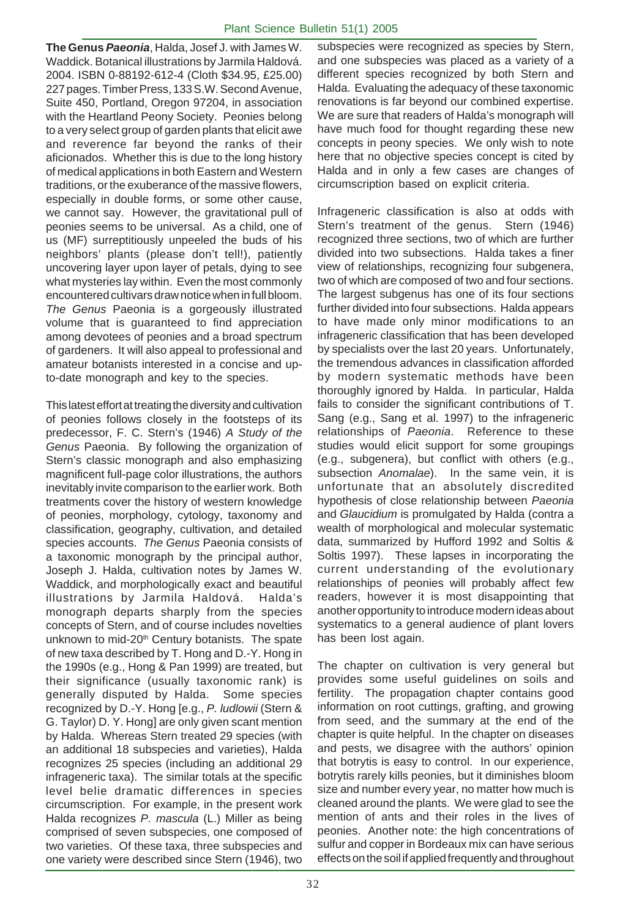**The Genus Paeonia**, Halda, Josef J. with James W. Waddick. Botanical illustrations by Jarmila Haldová. 2004. ISBN 0-88192-612-4 (Cloth \$34.95, £25.00) 227 pages. Timber Press, 133 S.W. Second Avenue, Suite 450, Portland, Oregon 97204, in association with the Heartland Peony Society. Peonies belong to a very select group of garden plants that elicit awe and reverence far beyond the ranks of their aficionados. Whether this is due to the long history of medical applications in both Eastern and Western traditions, or the exuberance of the massive flowers, especially in double forms, or some other cause, we cannot say. However, the gravitational pull of peonies seems to be universal. As a child, one of us (MF) surreptitiously unpeeled the buds of his neighbors' plants (please don't tell!), patiently uncovering layer upon layer of petals, dying to see what mysteries lay within. Even the most commonly encountered cultivars draw notice when in full bloom. The Genus Paeonia is a gorgeously illustrated volume that is guaranteed to find appreciation among devotees of peonies and a broad spectrum of gardeners. It will also appeal to professional and amateur botanists interested in a concise and upto-date monograph and key to the species.

This latest effort at treating the diversity and cultivation of peonies follows closely in the footsteps of its predecessor, F. C. Stern's (1946) A Study of the Genus Paeonia. By following the organization of Stern's classic monograph and also emphasizing magnificent full-page color illustrations, the authors inevitably invite comparison to the earlier work. Both treatments cover the history of western knowledge of peonies, morphology, cytology, taxonomy and classification, geography, cultivation, and detailed species accounts. The Genus Paeonia consists of a taxonomic monograph by the principal author, Joseph J. Halda, cultivation notes by James W. Waddick, and morphologically exact and beautiful illustrations by Jarmila Haldová. Halda's monograph departs sharply from the species concepts of Stern, and of course includes novelties unknown to mid-20<sup>th</sup> Century botanists. The spate of new taxa described by T. Hong and D.-Y. Hong in the 1990s (e.g., Hong & Pan 1999) are treated, but their significance (usually taxonomic rank) is generally disputed by Halda. Some species recognized by D.-Y. Hong [e.g., P. ludlowii (Stern & G. Taylor) D. Y. Hong] are only given scant mention by Halda. Whereas Stern treated 29 species (with an additional 18 subspecies and varieties), Halda recognizes 25 species (including an additional 29 infrageneric taxa). The similar totals at the specific level belie dramatic differences in species circumscription. For example, in the present work Halda recognizes P. mascula (L.) Miller as being comprised of seven subspecies, one composed of two varieties. Of these taxa, three subspecies and one variety were described since Stern (1946), two

subspecies were recognized as species by Stern, and one subspecies was placed as a variety of a different species recognized by both Stern and Halda. Evaluating the adequacy of these taxonomic renovations is far beyond our combined expertise. We are sure that readers of Halda's monograph will have much food for thought regarding these new concepts in peony species. We only wish to note here that no objective species concept is cited by Halda and in only a few cases are changes of circumscription based on explicit criteria.

Infrageneric classification is also at odds with Stern's treatment of the genus. Stern (1946) recognized three sections, two of which are further divided into two subsections. Halda takes a finer view of relationships, recognizing four subgenera, two of which are composed of two and four sections. The largest subgenus has one of its four sections further divided into four subsections. Halda appears to have made only minor modifications to an infrageneric classification that has been developed by specialists over the last 20 years. Unfortunately, the tremendous advances in classification afforded by modern systematic methods have been thoroughly ignored by Halda. In particular, Halda fails to consider the significant contributions of T. Sang (e.g., Sang et al. 1997) to the infrageneric relationships of Paeonia. Reference to these studies would elicit support for some groupings (e.g., subgenera), but conflict with others (e.g., subsection Anomalae). In the same vein, it is unfortunate that an absolutely discredited hypothesis of close relationship between Paeonia and Glaucidium is promulgated by Halda (contra a wealth of morphological and molecular systematic data, summarized by Hufford 1992 and Soltis & Soltis 1997). These lapses in incorporating the current understanding of the evolutionary relationships of peonies will probably affect few readers, however it is most disappointing that another opportunity to introduce modern ideas about systematics to a general audience of plant lovers has been lost again.

The chapter on cultivation is very general but provides some useful guidelines on soils and fertility. The propagation chapter contains good information on root cuttings, grafting, and growing from seed, and the summary at the end of the chapter is quite helpful. In the chapter on diseases and pests, we disagree with the authors' opinion that botrytis is easy to control. In our experience, botrytis rarely kills peonies, but it diminishes bloom size and number every year, no matter how much is cleaned around the plants. We were glad to see the mention of ants and their roles in the lives of peonies. Another note: the high concentrations of sulfur and copper in Bordeaux mix can have serious effects on the soil if applied frequently and throughout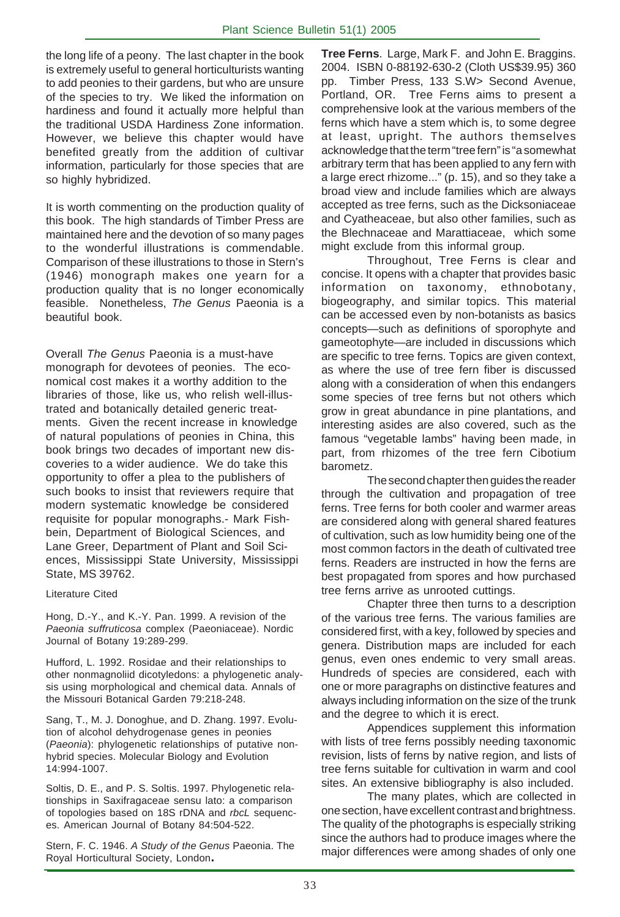the long life of a peony. The last chapter in the book is extremely useful to general horticulturists wanting to add peonies to their gardens, but who are unsure of the species to try. We liked the information on hardiness and found it actually more helpful than the traditional USDA Hardiness Zone information. However, we believe this chapter would have benefited greatly from the addition of cultivar information, particularly for those species that are so highly hybridized.

It is worth commenting on the production quality of this book. The high standards of Timber Press are maintained here and the devotion of so many pages to the wonderful illustrations is commendable. Comparison of these illustrations to those in Stern's (1946) monograph makes one yearn for a production quality that is no longer economically feasible. Nonetheless, The Genus Paeonia is a beautiful book.

Overall The Genus Paeonia is a must-have monograph for devotees of peonies. The economical cost makes it a worthy addition to the libraries of those, like us, who relish well-illustrated and botanically detailed generic treatments. Given the recent increase in knowledge of natural populations of peonies in China, this book brings two decades of important new discoveries to a wider audience. We do take this opportunity to offer a plea to the publishers of such books to insist that reviewers require that modern systematic knowledge be considered requisite for popular monographs.- Mark Fishbein, Department of Biological Sciences, and Lane Greer, Department of Plant and Soil Sciences, Mississippi State University, Mississippi State, MS 39762.

#### Literature Cited

Hong, D.-Y., and K.-Y. Pan. 1999. A revision of the Paeonia suffruticosa complex (Paeoniaceae). Nordic Journal of Botany 19:289-299.

Hufford, L. 1992. Rosidae and their relationships to other nonmagnoliid dicotyledons: a phylogenetic analysis using morphological and chemical data. Annals of the Missouri Botanical Garden 79:218-248.

Sang, T., M. J. Donoghue, and D. Zhang. 1997. Evolution of alcohol dehydrogenase genes in peonies (Paeonia): phylogenetic relationships of putative nonhybrid species. Molecular Biology and Evolution 14:994-1007.

Soltis, D. E., and P. S. Soltis. 1997. Phylogenetic relationships in Saxifragaceae sensu lato: a comparison of topologies based on 18S rDNA and rbcL sequences. American Journal of Botany 84:504-522.

Stern, F. C. 1946. A Study of the Genus Paeonia. The Royal Horticultural Society, London**.**

**Tree Ferns**. Large, Mark F. and John E. Braggins. 2004. ISBN 0-88192-630-2 (Cloth US\$39.95) 360 pp. Timber Press, 133 S.W> Second Avenue, Portland, OR. Tree Ferns aims to present a comprehensive look at the various members of the ferns which have a stem which is, to some degree at least, upright. The authors themselves acknowledge that the term "tree fern" is "a somewhat arbitrary term that has been applied to any fern with a large erect rhizome..." (p. 15), and so they take a broad view and include families which are always accepted as tree ferns, such as the Dicksoniaceae and Cyatheaceae, but also other families, such as the Blechnaceae and Marattiaceae, which some might exclude from this informal group.

Throughout, Tree Ferns is clear and concise. It opens with a chapter that provides basic information on taxonomy, ethnobotany, biogeography, and similar topics. This material can be accessed even by non-botanists as basics concepts—such as definitions of sporophyte and gameotophyte—are included in discussions which are specific to tree ferns. Topics are given context, as where the use of tree fern fiber is discussed along with a consideration of when this endangers some species of tree ferns but not others which grow in great abundance in pine plantations, and interesting asides are also covered, such as the famous "vegetable lambs" having been made, in part, from rhizomes of the tree fern Cibotium barometz.

The second chapter then guides the reader through the cultivation and propagation of tree ferns. Tree ferns for both cooler and warmer areas are considered along with general shared features of cultivation, such as low humidity being one of the most common factors in the death of cultivated tree ferns. Readers are instructed in how the ferns are best propagated from spores and how purchased tree ferns arrive as unrooted cuttings.

Chapter three then turns to a description of the various tree ferns. The various families are considered first, with a key, followed by species and genera. Distribution maps are included for each genus, even ones endemic to very small areas. Hundreds of species are considered, each with one or more paragraphs on distinctive features and always including information on the size of the trunk and the degree to which it is erect.

Appendices supplement this information with lists of tree ferns possibly needing taxonomic revision, lists of ferns by native region, and lists of tree ferns suitable for cultivation in warm and cool sites. An extensive bibliography is also included.

The many plates, which are collected in one section, have excellent contrast and brightness. The quality of the photographs is especially striking since the authors had to produce images where the major differences were among shades of only one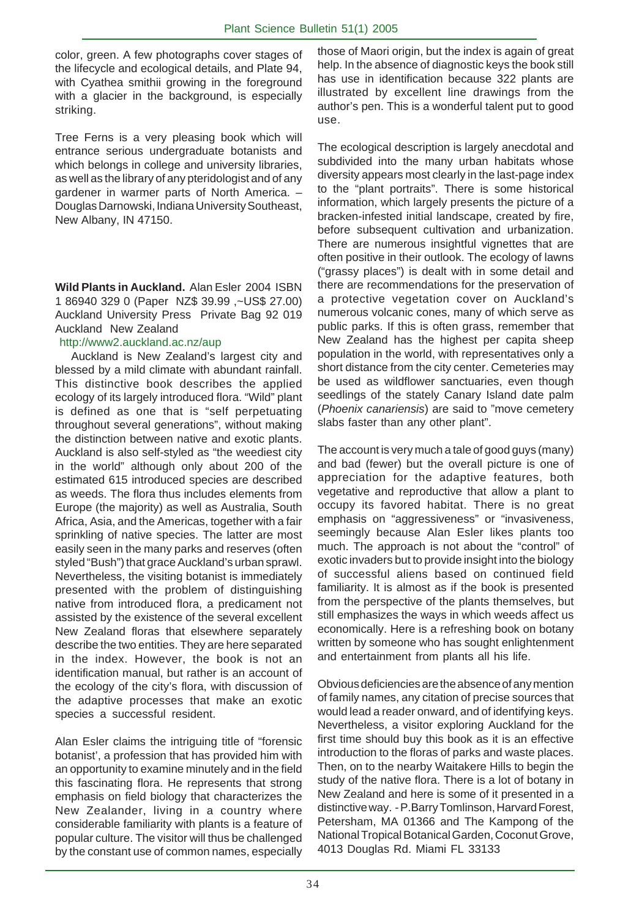color, green. A few photographs cover stages of the lifecycle and ecological details, and Plate 94, with Cyathea smithii growing in the foreground with a glacier in the background, is especially striking.

Tree Ferns is a very pleasing book which will entrance serious undergraduate botanists and which belongs in college and university libraries, as well as the library of any pteridologist and of any gardener in warmer parts of North America. – Douglas Darnowski, Indiana University Southeast, New Albany, IN 47150.

**Wild Plants in Auckland.** Alan Esler 2004 ISBN 1 86940 329 0 (Paper NZ\$ 39.99 ,~US\$ 27.00) Auckland University Press Private Bag 92 019 Auckland New Zealand

#### http://www2.auckland.ac.nz/aup

 Auckland is New Zealand's largest city and blessed by a mild climate with abundant rainfall. This distinctive book describes the applied ecology of its largely introduced flora. "Wild" plant is defined as one that is "self perpetuating throughout several generations", without making the distinction between native and exotic plants. Auckland is also self-styled as "the weediest city in the world" although only about 200 of the estimated 615 introduced species are described as weeds. The flora thus includes elements from Europe (the majority) as well as Australia, South Africa, Asia, and the Americas, together with a fair sprinkling of native species. The latter are most easily seen in the many parks and reserves (often styled "Bush") that grace Auckland's urban sprawl. Nevertheless, the visiting botanist is immediately presented with the problem of distinguishing native from introduced flora, a predicament not assisted by the existence of the several excellent New Zealand floras that elsewhere separately describe the two entities. They are here separated in the index. However, the book is not an identification manual, but rather is an account of the ecology of the city's flora, with discussion of the adaptive processes that make an exotic species a successful resident.

Alan Esler claims the intriguing title of "forensic botanist', a profession that has provided him with an opportunity to examine minutely and in the field this fascinating flora. He represents that strong emphasis on field biology that characterizes the New Zealander, living in a country where considerable familiarity with plants is a feature of popular culture. The visitor will thus be challenged by the constant use of common names, especially those of Maori origin, but the index is again of great help. In the absence of diagnostic keys the book still has use in identification because 322 plants are illustrated by excellent line drawings from the author's pen. This is a wonderful talent put to good use.

The ecological description is largely anecdotal and subdivided into the many urban habitats whose diversity appears most clearly in the last-page index to the "plant portraits". There is some historical information, which largely presents the picture of a bracken-infested initial landscape, created by fire, before subsequent cultivation and urbanization. There are numerous insightful vignettes that are often positive in their outlook. The ecology of lawns ("grassy places") is dealt with in some detail and there are recommendations for the preservation of a protective vegetation cover on Auckland's numerous volcanic cones, many of which serve as public parks. If this is often grass, remember that New Zealand has the highest per capita sheep population in the world, with representatives only a short distance from the city center. Cemeteries may be used as wildflower sanctuaries, even though seedlings of the stately Canary Island date palm (Phoenix canariensis) are said to "move cemetery slabs faster than any other plant".

The account is very much a tale of good guys (many) and bad (fewer) but the overall picture is one of appreciation for the adaptive features, both vegetative and reproductive that allow a plant to occupy its favored habitat. There is no great emphasis on "aggressiveness" or "invasiveness, seemingly because Alan Esler likes plants too much. The approach is not about the "control" of exotic invaders but to provide insight into the biology of successful aliens based on continued field familiarity. It is almost as if the book is presented from the perspective of the plants themselves, but still emphasizes the ways in which weeds affect us economically. Here is a refreshing book on botany written by someone who has sought enlightenment and entertainment from plants all his life.

Obvious deficiencies are the absence of any mention of family names, any citation of precise sources that would lead a reader onward, and of identifying keys. Nevertheless, a visitor exploring Auckland for the first time should buy this book as it is an effective introduction to the floras of parks and waste places. Then, on to the nearby Waitakere Hills to begin the study of the native flora. There is a lot of botany in New Zealand and here is some of it presented in a distinctive way. - P.Barry Tomlinson, Harvard Forest, Petersham, MA 01366 and The Kampong of the National Tropical Botanical Garden, Coconut Grove, 4013 Douglas Rd. Miami FL 33133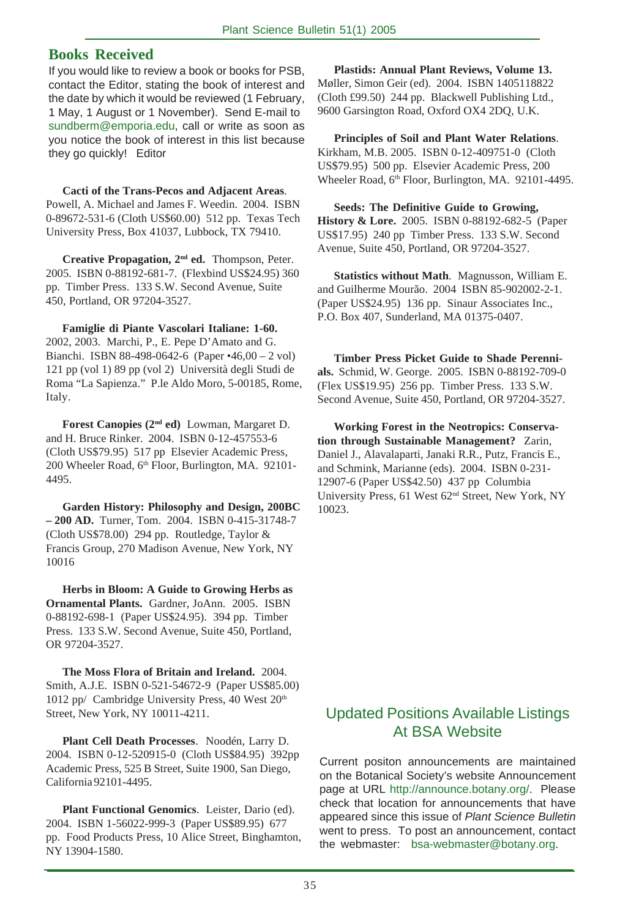#### **Books Received**

If you would like to review a book or books for PSB, contact the Editor, stating the book of interest and the date by which it would be reviewed (1 February, 1 May, 1 August or 1 November). Send E-mail to sundberm@emporia.edu, call or write as soon as you notice the book of interest in this list because they go quickly! Editor

**Cacti of the Trans-Pecos and Adjacent Areas**. Powell, A. Michael and James F. Weedin. 2004. ISBN 0-89672-531-6 (Cloth US\$60.00) 512 pp. Texas Tech University Press, Box 41037, Lubbock, TX 79410.

**Creative Propagation, 2nd ed.** Thompson, Peter. 2005. ISBN 0-88192-681-7. (Flexbind US\$24.95) 360 pp. Timber Press. 133 S.W. Second Avenue, Suite 450, Portland, OR 97204-3527.

**Famiglie di Piante Vascolari Italiane: 1-60.** 2002, 2003. Marchi, P., E. Pepe D'Amato and G. Bianchi. ISBN 88-498-0642-6 (Paper •46,00 – 2 vol) 121 pp (vol 1) 89 pp (vol 2) Università degli Studi de Roma "La Sapienza." P.le Aldo Moro, 5-00185, Rome, Italy.

**Forest Canopies (2nd ed)** Lowman, Margaret D. and H. Bruce Rinker. 2004. ISBN 0-12-457553-6 (Cloth US\$79.95) 517 pp Elsevier Academic Press, 200 Wheeler Road, 6th Floor, Burlington, MA. 92101-4495.

**Garden History: Philosophy and Design, 200BC – 200 AD.** Turner, Tom. 2004. ISBN 0-415-31748-7 (Cloth US\$78.00) 294 pp. Routledge, Taylor & Francis Group, 270 Madison Avenue, New York, NY 10016

**Herbs in Bloom: A Guide to Growing Herbs as Ornamental Plants.** Gardner, JoAnn. 2005. ISBN 0-88192-698-1 (Paper US\$24.95). 394 pp. Timber Press. 133 S.W. Second Avenue, Suite 450, Portland, OR 97204-3527.

**The Moss Flora of Britain and Ireland.** 2004. Smith, A.J.E. ISBN 0-521-54672-9 (Paper US\$85.00) 1012 pp/ Cambridge University Press,  $40$  West  $20<sup>th</sup>$ Street, New York, NY 10011-4211.

**Plant Cell Death Processes**. Noodén, Larry D. 2004. ISBN 0-12-520915-0 (Cloth US\$84.95) 392pp Academic Press, 525 B Street, Suite 1900, San Diego, California 92101-4495.

**Plant Functional Genomics**. Leister, Dario (ed). 2004. ISBN 1-56022-999-3 (Paper US\$89.95) 677 pp. Food Products Press, 10 Alice Street, Binghamton, NY 13904-1580.

**Plastids: Annual Plant Reviews, Volume 13.** Møller, Simon Geir (ed). 2004. ISBN 1405118822 (Cloth £99.50) 244 pp. Blackwell Publishing Ltd., 9600 Garsington Road, Oxford OX4 2DQ, U.K.

**Principles of Soil and Plant Water Relations**. Kirkham, M.B. 2005. ISBN 0-12-409751-0 (Cloth US\$79.95) 500 pp. Elsevier Academic Press, 200 Wheeler Road, 6<sup>th</sup> Floor, Burlington, MA. 92101-4495.

**Seeds: The Definitive Guide to Growing, History & Lore.** 2005. ISBN 0-88192-682-5 (Paper US\$17.95) 240 pp Timber Press. 133 S.W. Second Avenue, Suite 450, Portland, OR 97204-3527.

**Statistics without Math**. Magnusson, William E. and Guilherme Mourão. 2004 ISBN 85-902002-2-1. (Paper US\$24.95) 136 pp. Sinaur Associates Inc., P.O. Box 407, Sunderland, MA 01375-0407.

**Timber Press Picket Guide to Shade Perennials.** Schmid, W. George. 2005. ISBN 0-88192-709-0 (Flex US\$19.95) 256 pp. Timber Press. 133 S.W. Second Avenue, Suite 450, Portland, OR 97204-3527.

**Working Forest in the Neotropics: Conservation through Sustainable Management?** Zarin, Daniel J., Alavalaparti, Janaki R.R., Putz, Francis E., and Schmink, Marianne (eds). 2004. ISBN 0-231- 12907-6 (Paper US\$42.50) 437 pp Columbia University Press, 61 West 62nd Street, New York, NY 10023.

## Updated Positions Available Listings At BSA Website

Current positon announcements are maintained on the Botanical Society's website Announcement page at URL http://announce.botany.org/. Please check that location for announcements that have appeared since this issue of Plant Science Bulletin went to press. To post an announcement, contact the webmaster: bsa-webmaster@botany.org.